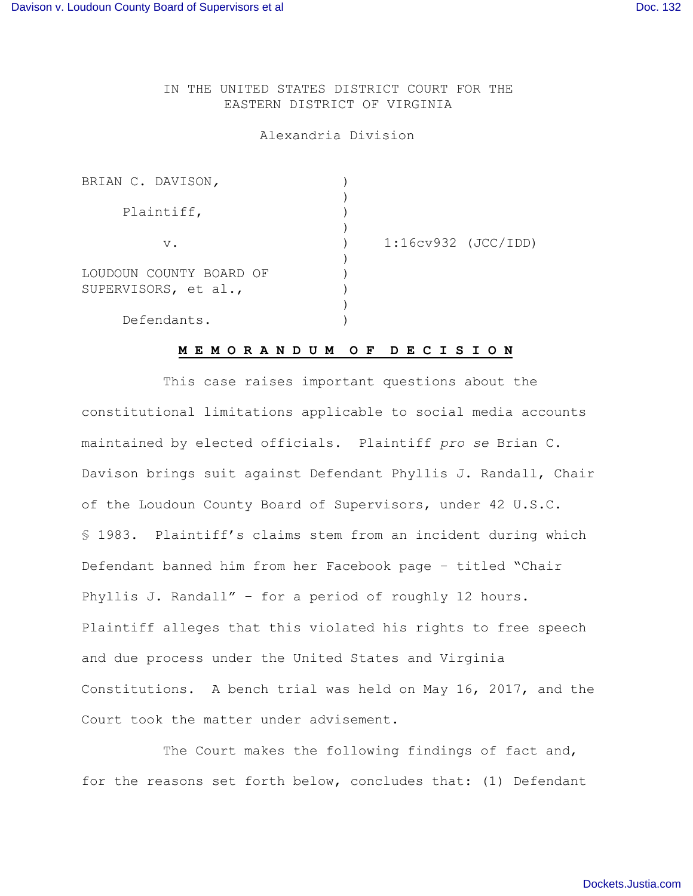IN THE UNITED STATES DISTRICT COURT FOR THE EASTERN DISTRICT OF VIRGINIA

#### Alexandria Division

| $1:16cv932$ (JCC/IDD) |  |
|-----------------------|--|
|                       |  |

## **M E M O R A N D U M O F D E C I S I O N**

This case raises important questions about the constitutional limitations applicable to social media accounts maintained by elected officials. Plaintiff *pro se* Brian C. Davison brings suit against Defendant Phyllis J. Randall, Chair of the Loudoun County Board of Supervisors, under 42 U.S.C. § 1983. Plaintiff's claims stem from an incident during which Defendant banned him from her Facebook page – titled "Chair Phyllis J. Randall" – for a period of roughly 12 hours. Plaintiff alleges that this violated his rights to free speech and due process under the United States and Virginia Constitutions. A bench trial was held on May 16, 2017, and the Court took the matter under advisement.

The Court makes the following findings of fact and, for the reasons set forth below, concludes that: (1) Defendant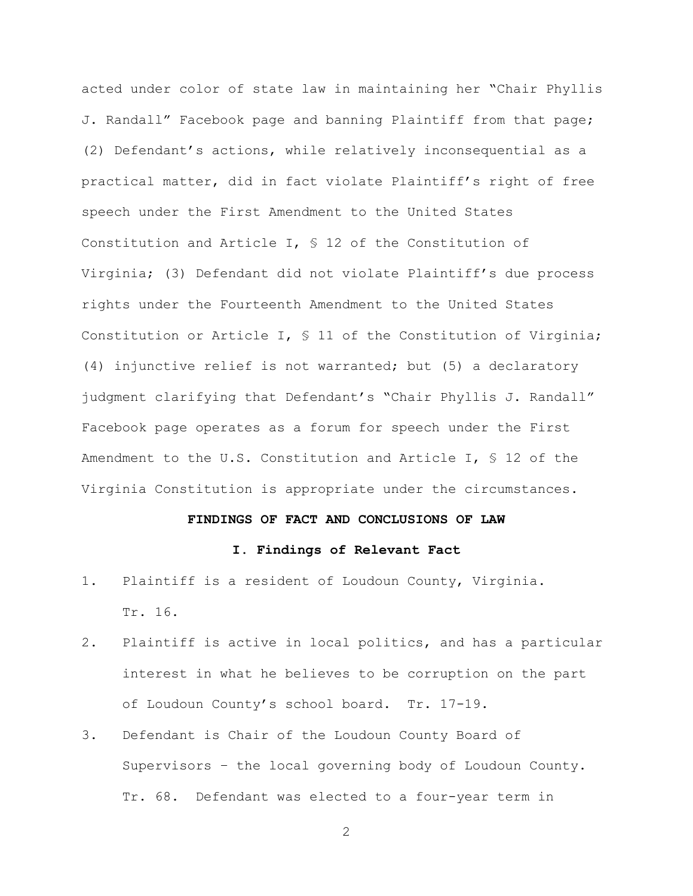acted under color of state law in maintaining her "Chair Phyllis J. Randall" Facebook page and banning Plaintiff from that page; (2) Defendant's actions, while relatively inconsequential as a practical matter, did in fact violate Plaintiff's right of free speech under the First Amendment to the United States Constitution and Article I, § 12 of the Constitution of Virginia; (3) Defendant did not violate Plaintiff's due process rights under the Fourteenth Amendment to the United States Constitution or Article I, § 11 of the Constitution of Virginia; (4) injunctive relief is not warranted; but (5) a declaratory judgment clarifying that Defendant's "Chair Phyllis J. Randall" Facebook page operates as a forum for speech under the First Amendment to the U.S. Constitution and Article I, § 12 of the Virginia Constitution is appropriate under the circumstances.

#### **FINDINGS OF FACT AND CONCLUSIONS OF LAW**

## **I. Findings of Relevant Fact**

- 1. Plaintiff is a resident of Loudoun County, Virginia. Tr. 16.
- 2. Plaintiff is active in local politics, and has a particular interest in what he believes to be corruption on the part of Loudoun County's school board. Tr. 17-19.
- 3. Defendant is Chair of the Loudoun County Board of Supervisors – the local governing body of Loudoun County. Tr. 68. Defendant was elected to a four-year term in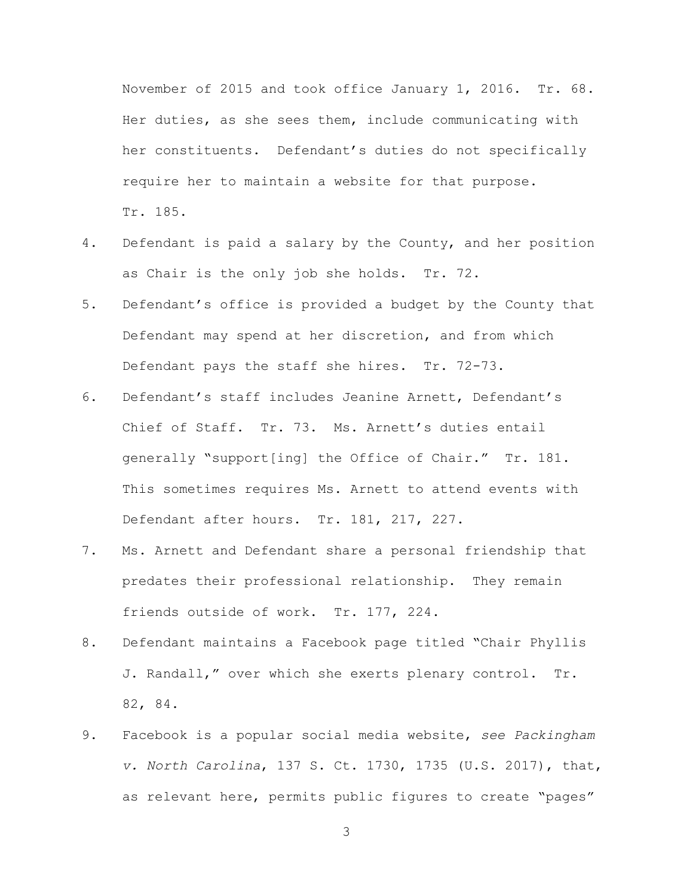November of 2015 and took office January 1, 2016. Tr. 68. Her duties, as she sees them, include communicating with her constituents. Defendant's duties do not specifically require her to maintain a website for that purpose. Tr. 185.

- 4. Defendant is paid a salary by the County, and her position as Chair is the only job she holds. Tr. 72.
- 5. Defendant's office is provided a budget by the County that Defendant may spend at her discretion, and from which Defendant pays the staff she hires. Tr. 72-73.
- 6. Defendant's staff includes Jeanine Arnett, Defendant's Chief of Staff. Tr. 73. Ms. Arnett's duties entail generally "support[ing] the Office of Chair." Tr. 181. This sometimes requires Ms. Arnett to attend events with Defendant after hours. Tr. 181, 217, 227.
- 7. Ms. Arnett and Defendant share a personal friendship that predates their professional relationship. They remain friends outside of work. Tr. 177, 224.
- 8. Defendant maintains a Facebook page titled "Chair Phyllis J. Randall," over which she exerts plenary control. Tr. 82, 84.
- 9. Facebook is a popular social media website, *see Packingham v. North Carolina*, 137 S. Ct. 1730, 1735 (U.S. 2017), that, as relevant here, permits public figures to create "pages"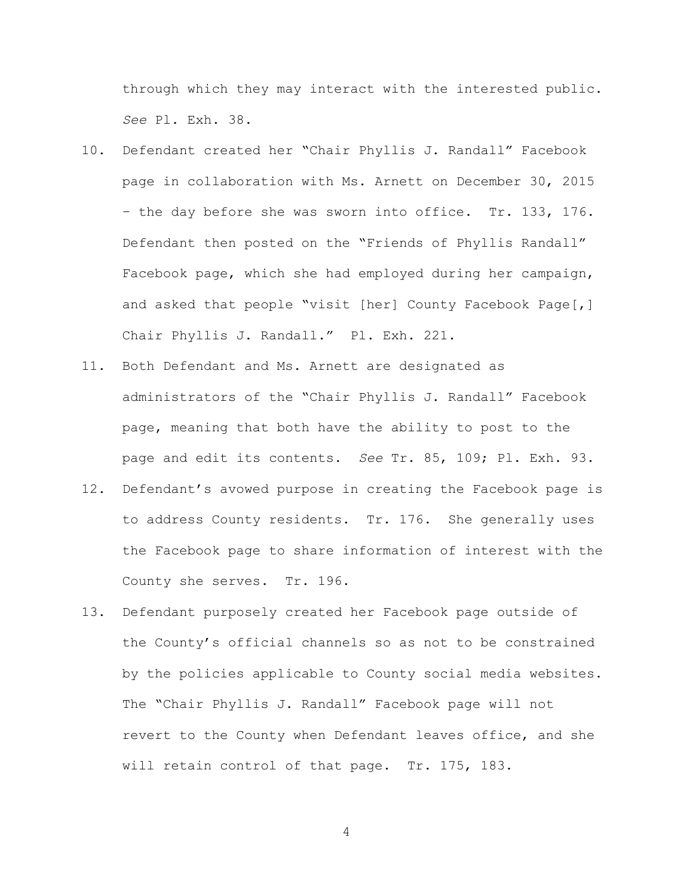through which they may interact with the interested public. *See* Pl. Exh. 38.

- 10. Defendant created her "Chair Phyllis J. Randall" Facebook page in collaboration with Ms. Arnett on December 30, 2015 – the day before she was sworn into office. Tr. 133, 176. Defendant then posted on the "Friends of Phyllis Randall" Facebook page, which she had employed during her campaign, and asked that people "visit [her] County Facebook Page[,] Chair Phyllis J. Randall." Pl. Exh. 221.
- 11. Both Defendant and Ms. Arnett are designated as administrators of the "Chair Phyllis J. Randall" Facebook page, meaning that both have the ability to post to the page and edit its contents. *See* Tr. 85, 109; Pl. Exh. 93.
- 12. Defendant's avowed purpose in creating the Facebook page is to address County residents. Tr. 176. She generally uses the Facebook page to share information of interest with the County she serves. Tr. 196.
- 13. Defendant purposely created her Facebook page outside of the County's official channels so as not to be constrained by the policies applicable to County social media websites. The "Chair Phyllis J. Randall" Facebook page will not revert to the County when Defendant leaves office, and she will retain control of that page. Tr. 175, 183.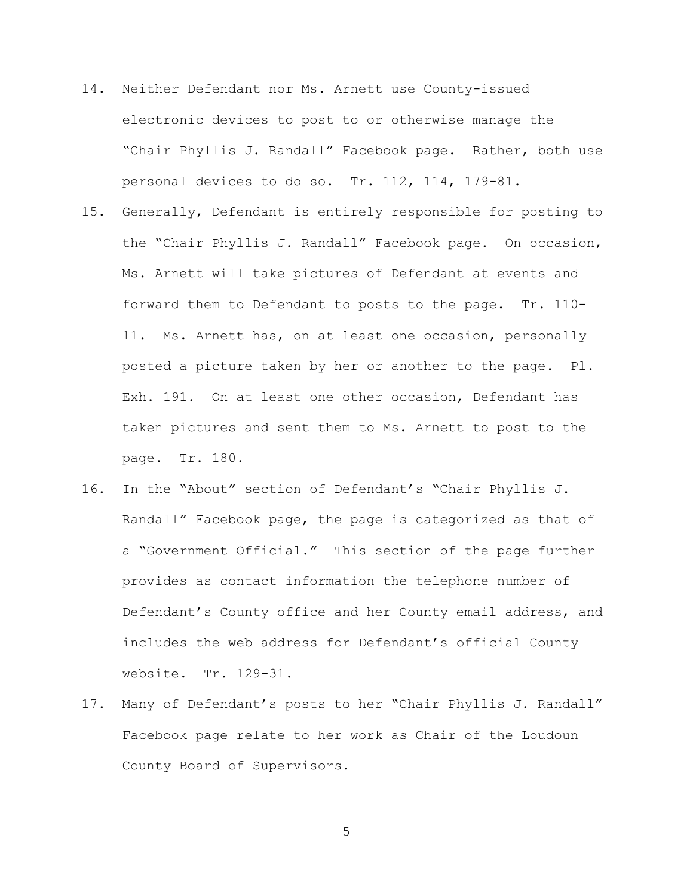- 14. Neither Defendant nor Ms. Arnett use County-issued electronic devices to post to or otherwise manage the "Chair Phyllis J. Randall" Facebook page. Rather, both use personal devices to do so. Tr. 112, 114, 179-81.
- 15. Generally, Defendant is entirely responsible for posting to the "Chair Phyllis J. Randall" Facebook page. On occasion, Ms. Arnett will take pictures of Defendant at events and forward them to Defendant to posts to the page. Tr. 110- 11. Ms. Arnett has, on at least one occasion, personally posted a picture taken by her or another to the page. Pl. Exh. 191. On at least one other occasion, Defendant has taken pictures and sent them to Ms. Arnett to post to the page. Tr. 180.
- 16. In the "About" section of Defendant's "Chair Phyllis J. Randall" Facebook page, the page is categorized as that of a "Government Official." This section of the page further provides as contact information the telephone number of Defendant's County office and her County email address, and includes the web address for Defendant's official County website. Tr. 129-31.
- 17. Many of Defendant's posts to her "Chair Phyllis J. Randall" Facebook page relate to her work as Chair of the Loudoun County Board of Supervisors.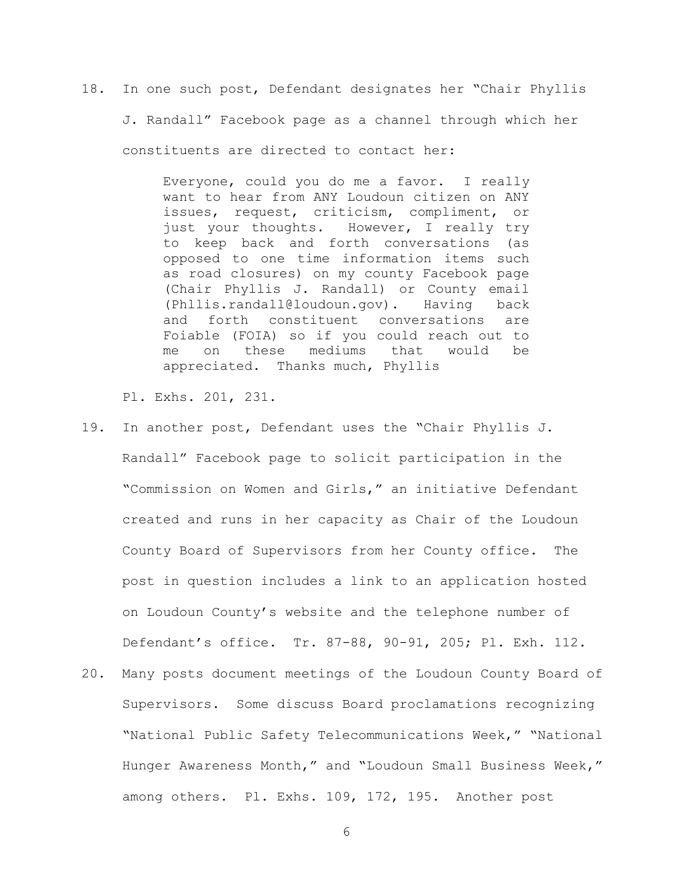18. In one such post, Defendant designates her "Chair Phyllis J. Randall" Facebook page as a channel through which her constituents are directed to contact her:

> Everyone, could you do me a favor. I really want to hear from ANY Loudoun citizen on ANY issues, request, criticism, compliment, or just your thoughts. However, I really try to keep back and forth conversations (as opposed to one time information items such as road closures) on my county Facebook page (Chair Phyllis J. Randall) or County email (Phllis.randall@loudoun.gov). Having back and forth constituent conversations are Foiable (FOIA) so if you could reach out to me on these mediums that would be appreciated. Thanks much, Phyllis

Pl. Exhs. 201, 231.

- 19. In another post, Defendant uses the "Chair Phyllis J. Randall" Facebook page to solicit participation in the "Commission on Women and Girls," an initiative Defendant created and runs in her capacity as Chair of the Loudoun County Board of Supervisors from her County office. The post in question includes a link to an application hosted on Loudoun County's website and the telephone number of Defendant's office. Tr. 87-88, 90-91, 205; Pl. Exh. 112.
- 20. Many posts document meetings of the Loudoun County Board of Supervisors. Some discuss Board proclamations recognizing "National Public Safety Telecommunications Week," "National Hunger Awareness Month," and "Loudoun Small Business Week," among others. Pl. Exhs. 109, 172, 195. Another post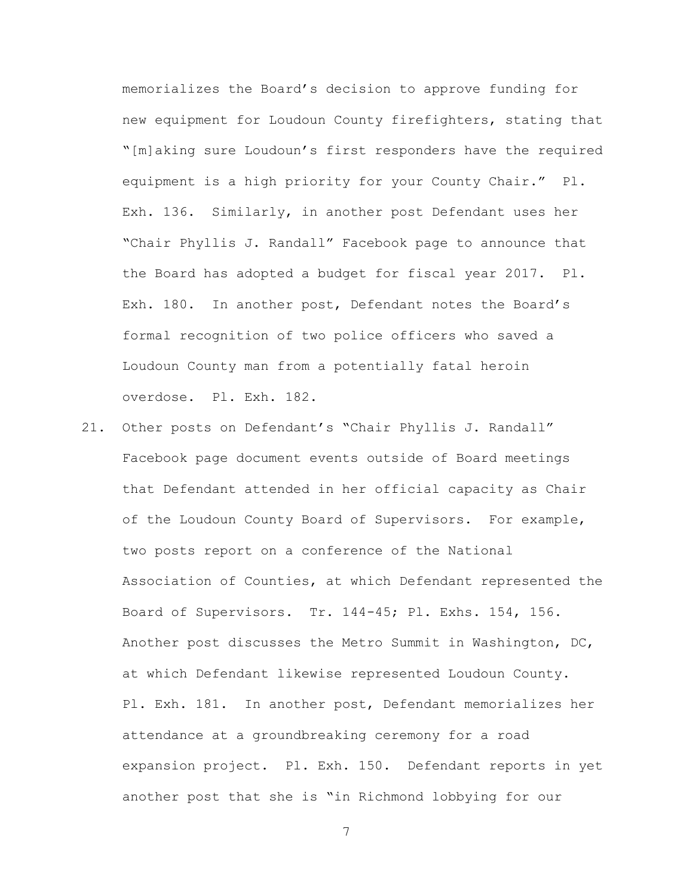memorializes the Board's decision to approve funding for new equipment for Loudoun County firefighters, stating that "[m]aking sure Loudoun's first responders have the required equipment is a high priority for your County Chair." Pl. Exh. 136. Similarly, in another post Defendant uses her "Chair Phyllis J. Randall" Facebook page to announce that the Board has adopted a budget for fiscal year 2017. Pl. Exh. 180. In another post, Defendant notes the Board's formal recognition of two police officers who saved a Loudoun County man from a potentially fatal heroin overdose. Pl. Exh. 182.

21. Other posts on Defendant's "Chair Phyllis J. Randall" Facebook page document events outside of Board meetings that Defendant attended in her official capacity as Chair of the Loudoun County Board of Supervisors. For example, two posts report on a conference of the National Association of Counties, at which Defendant represented the Board of Supervisors. Tr. 144-45; Pl. Exhs. 154, 156. Another post discusses the Metro Summit in Washington, DC, at which Defendant likewise represented Loudoun County. Pl. Exh. 181. In another post, Defendant memorializes her attendance at a groundbreaking ceremony for a road expansion project. Pl. Exh. 150. Defendant reports in yet another post that she is "in Richmond lobbying for our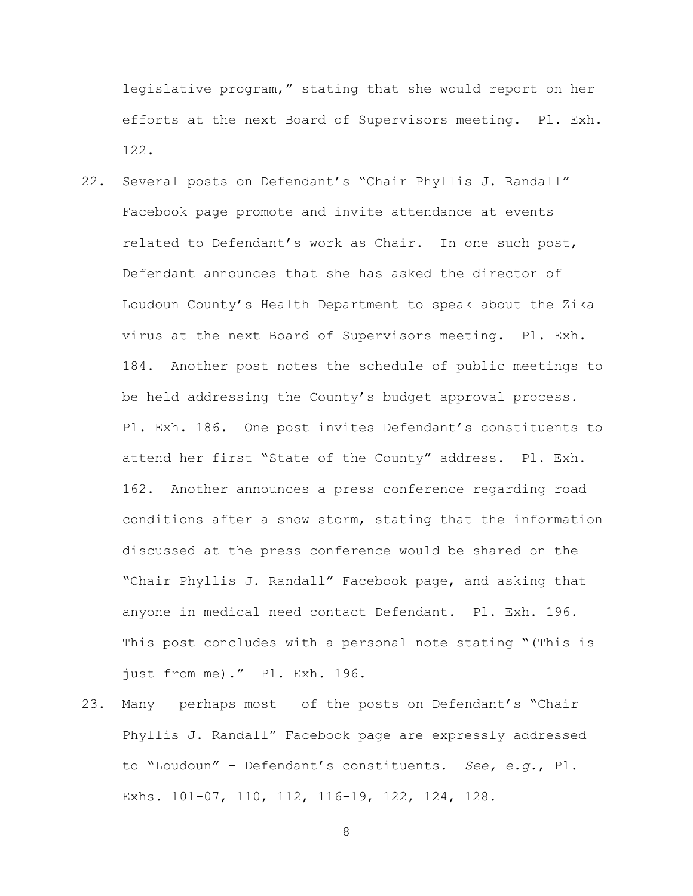legislative program," stating that she would report on her efforts at the next Board of Supervisors meeting. Pl. Exh. 122.

- 22. Several posts on Defendant's "Chair Phyllis J. Randall" Facebook page promote and invite attendance at events related to Defendant's work as Chair. In one such post, Defendant announces that she has asked the director of Loudoun County's Health Department to speak about the Zika virus at the next Board of Supervisors meeting. Pl. Exh. 184. Another post notes the schedule of public meetings to be held addressing the County's budget approval process. Pl. Exh. 186. One post invites Defendant's constituents to attend her first "State of the County" address. Pl. Exh. 162. Another announces a press conference regarding road conditions after a snow storm, stating that the information discussed at the press conference would be shared on the "Chair Phyllis J. Randall" Facebook page, and asking that anyone in medical need contact Defendant. Pl. Exh. 196. This post concludes with a personal note stating "(This is just from me)." Pl. Exh. 196.
- 23. Many perhaps most of the posts on Defendant's "Chair Phyllis J. Randall" Facebook page are expressly addressed to "Loudoun" – Defendant's constituents. *See, e.g.*, Pl. Exhs. 101-07, 110, 112, 116-19, 122, 124, 128.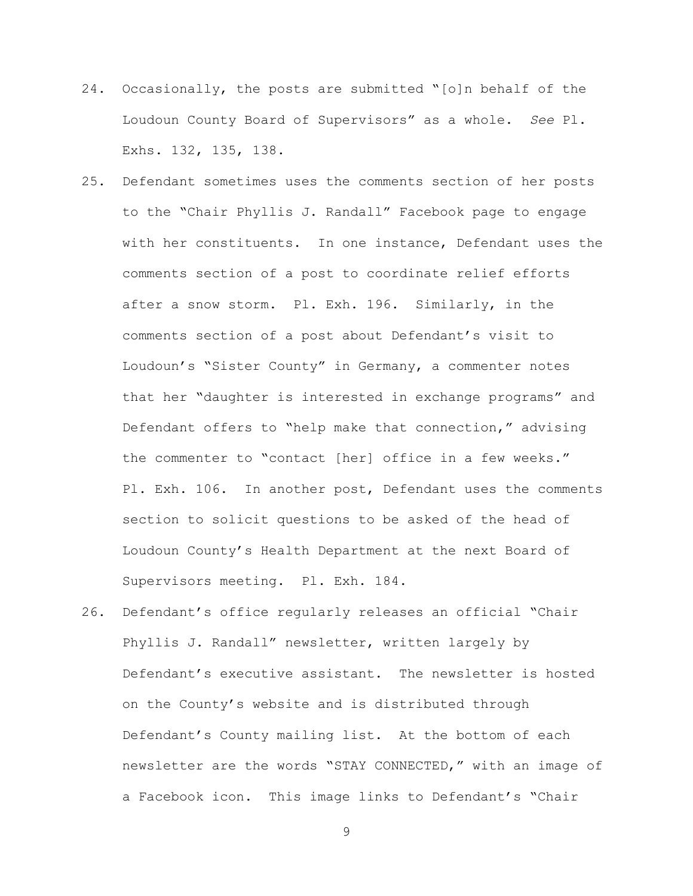- 24. Occasionally, the posts are submitted "[o]n behalf of the Loudoun County Board of Supervisors" as a whole. *See* Pl. Exhs. 132, 135, 138.
- 25. Defendant sometimes uses the comments section of her posts to the "Chair Phyllis J. Randall" Facebook page to engage with her constituents. In one instance, Defendant uses the comments section of a post to coordinate relief efforts after a snow storm. Pl. Exh. 196. Similarly, in the comments section of a post about Defendant's visit to Loudoun's "Sister County" in Germany, a commenter notes that her "daughter is interested in exchange programs" and Defendant offers to "help make that connection," advising the commenter to "contact [her] office in a few weeks." Pl. Exh. 106. In another post, Defendant uses the comments section to solicit questions to be asked of the head of Loudoun County's Health Department at the next Board of Supervisors meeting. Pl. Exh. 184.
- 26. Defendant's office regularly releases an official "Chair Phyllis J. Randall" newsletter, written largely by Defendant's executive assistant. The newsletter is hosted on the County's website and is distributed through Defendant's County mailing list. At the bottom of each newsletter are the words "STAY CONNECTED," with an image of a Facebook icon. This image links to Defendant's "Chair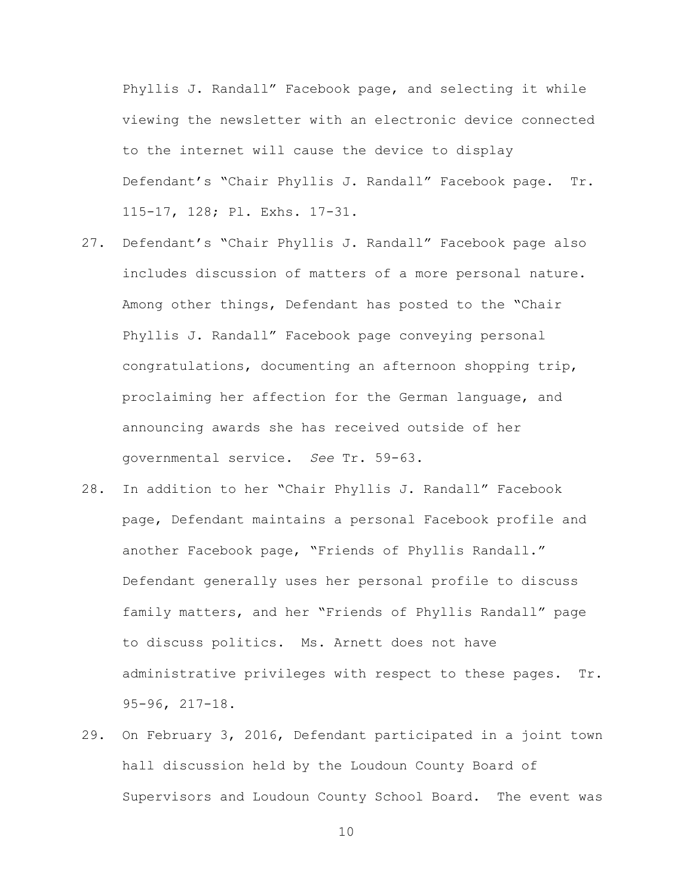Phyllis J. Randall" Facebook page, and selecting it while viewing the newsletter with an electronic device connected to the internet will cause the device to display Defendant's "Chair Phyllis J. Randall" Facebook page. Tr. 115-17, 128; Pl. Exhs. 17-31.

- 27. Defendant's "Chair Phyllis J. Randall" Facebook page also includes discussion of matters of a more personal nature. Among other things, Defendant has posted to the "Chair Phyllis J. Randall" Facebook page conveying personal congratulations, documenting an afternoon shopping trip, proclaiming her affection for the German language, and announcing awards she has received outside of her governmental service. *See* Tr. 59-63.
- 28. In addition to her "Chair Phyllis J. Randall" Facebook page, Defendant maintains a personal Facebook profile and another Facebook page, "Friends of Phyllis Randall." Defendant generally uses her personal profile to discuss family matters, and her "Friends of Phyllis Randall" page to discuss politics. Ms. Arnett does not have administrative privileges with respect to these pages. Tr. 95-96, 217-18.
- 29. On February 3, 2016, Defendant participated in a joint town hall discussion held by the Loudoun County Board of Supervisors and Loudoun County School Board. The event was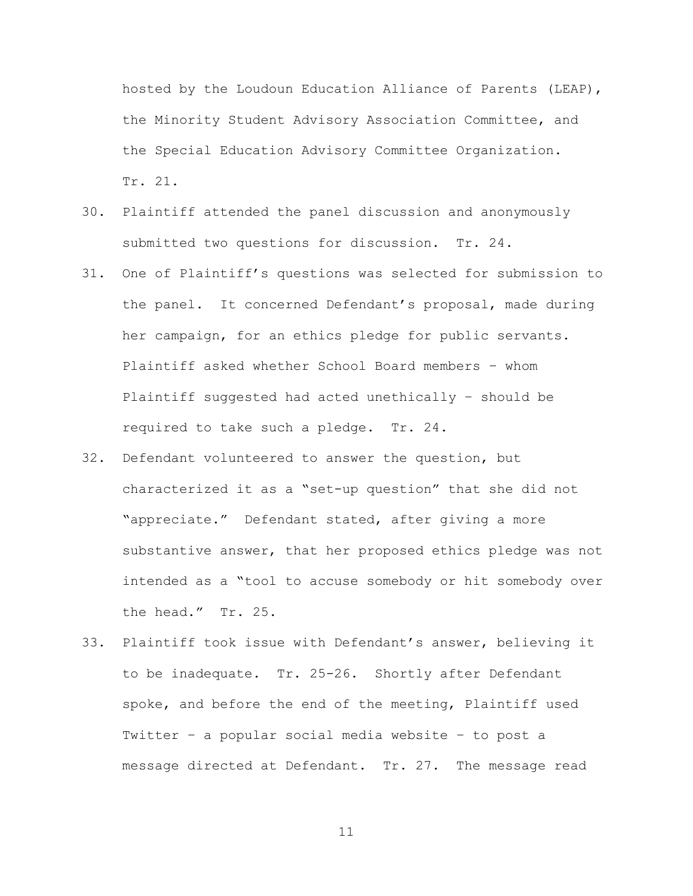hosted by the Loudoun Education Alliance of Parents (LEAP), the Minority Student Advisory Association Committee, and the Special Education Advisory Committee Organization. Tr. 21.

- 30. Plaintiff attended the panel discussion and anonymously submitted two questions for discussion. Tr. 24.
- 31. One of Plaintiff's questions was selected for submission to the panel. It concerned Defendant's proposal, made during her campaign, for an ethics pledge for public servants. Plaintiff asked whether School Board members – whom Plaintiff suggested had acted unethically – should be required to take such a pledge. Tr. 24.
- 32. Defendant volunteered to answer the question, but characterized it as a "set-up question" that she did not "appreciate." Defendant stated, after giving a more substantive answer, that her proposed ethics pledge was not intended as a "tool to accuse somebody or hit somebody over the head." Tr. 25.
- 33. Plaintiff took issue with Defendant's answer, believing it to be inadequate. Tr. 25-26. Shortly after Defendant spoke, and before the end of the meeting, Plaintiff used Twitter – a popular social media website – to post a message directed at Defendant. Tr. 27. The message read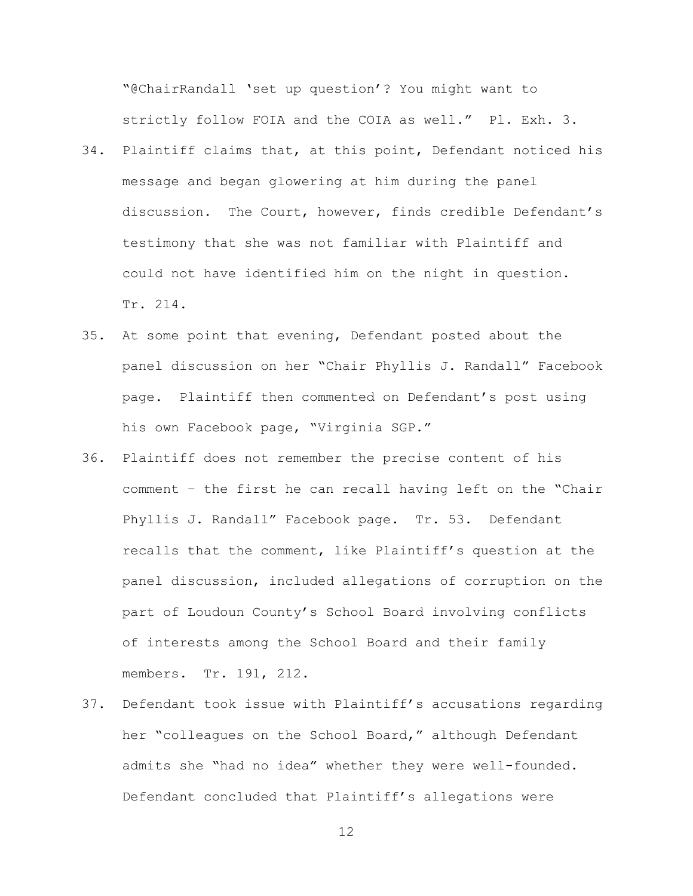"@ChairRandall 'set up question'? You might want to strictly follow FOIA and the COIA as well." Pl. Exh. 3.

- 34. Plaintiff claims that, at this point, Defendant noticed his message and began glowering at him during the panel discussion. The Court, however, finds credible Defendant's testimony that she was not familiar with Plaintiff and could not have identified him on the night in question. Tr. 214.
- 35. At some point that evening, Defendant posted about the panel discussion on her "Chair Phyllis J. Randall" Facebook page. Plaintiff then commented on Defendant's post using his own Facebook page, "Virginia SGP."
- 36. Plaintiff does not remember the precise content of his comment – the first he can recall having left on the "Chair Phyllis J. Randall" Facebook page. Tr. 53. Defendant recalls that the comment, like Plaintiff's question at the panel discussion, included allegations of corruption on the part of Loudoun County's School Board involving conflicts of interests among the School Board and their family members. Tr. 191, 212.
- 37. Defendant took issue with Plaintiff's accusations regarding her "colleagues on the School Board," although Defendant admits she "had no idea" whether they were well-founded. Defendant concluded that Plaintiff's allegations were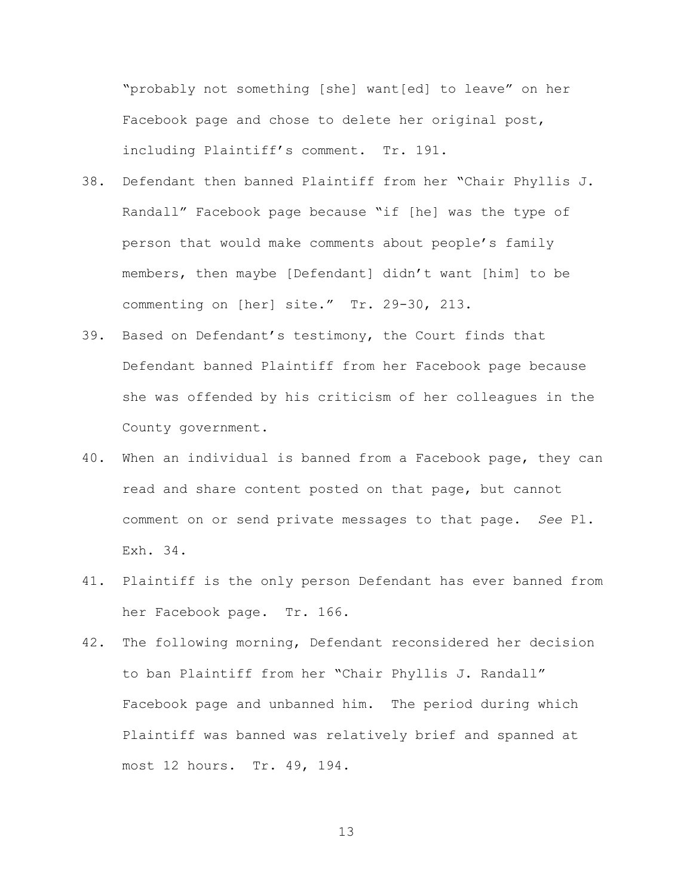"probably not something [she] want[ed] to leave" on her Facebook page and chose to delete her original post, including Plaintiff's comment. Tr. 191.

- 38. Defendant then banned Plaintiff from her "Chair Phyllis J. Randall" Facebook page because "if [he] was the type of person that would make comments about people's family members, then maybe [Defendant] didn't want [him] to be commenting on [her] site." Tr. 29-30, 213.
- 39. Based on Defendant's testimony, the Court finds that Defendant banned Plaintiff from her Facebook page because she was offended by his criticism of her colleagues in the County government.
- 40. When an individual is banned from a Facebook page, they can read and share content posted on that page, but cannot comment on or send private messages to that page. *See* Pl. Exh. 34.
- 41. Plaintiff is the only person Defendant has ever banned from her Facebook page. Tr. 166.
- 42. The following morning, Defendant reconsidered her decision to ban Plaintiff from her "Chair Phyllis J. Randall" Facebook page and unbanned him. The period during which Plaintiff was banned was relatively brief and spanned at most 12 hours. Tr. 49, 194.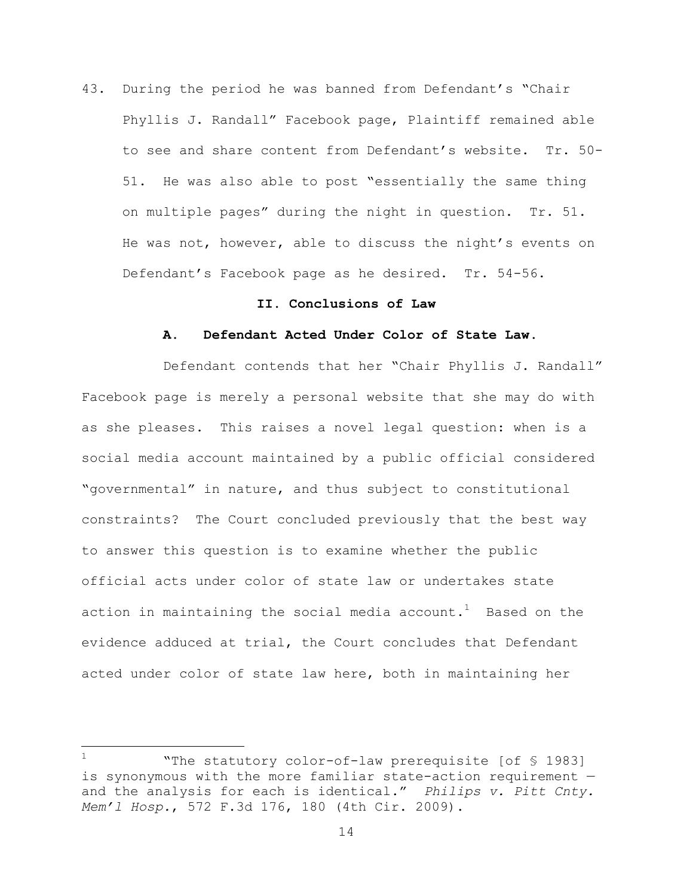43. During the period he was banned from Defendant's "Chair Phyllis J. Randall" Facebook page, Plaintiff remained able to see and share content from Defendant's website. Tr. 50- 51. He was also able to post "essentially the same thing on multiple pages" during the night in question. Tr. 51. He was not, however, able to discuss the night's events on Defendant's Facebook page as he desired. Tr. 54-56.

### **II. Conclusions of Law**

#### **A. Defendant Acted Under Color of State Law.**

Defendant contends that her "Chair Phyllis J. Randall" Facebook page is merely a personal website that she may do with as she pleases. This raises a novel legal question: when is a social media account maintained by a public official considered "governmental" in nature, and thus subject to constitutional constraints? The Court concluded previously that the best way to answer this question is to examine whether the public official acts under color of state law or undertakes state action in maintaining the social media account. $^1$  Based on the evidence adduced at trial, the Court concludes that Defendant acted under color of state law here, both in maintaining her

 $\overline{a}$ 

<sup>&</sup>quot;The statutory color-of-law prerequisite [of § 1983] is synonymous with the more familiar state-action requirement and the analysis for each is identical." *Philips v. Pitt Cnty. Mem'l Hosp.*, 572 F.3d 176, 180 (4th Cir. 2009).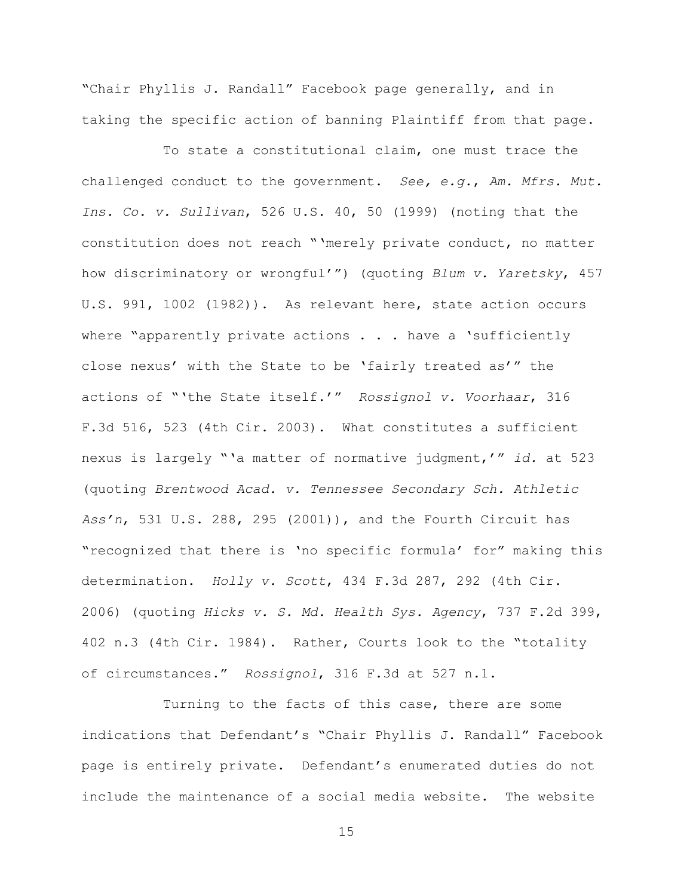"Chair Phyllis J. Randall" Facebook page generally, and in taking the specific action of banning Plaintiff from that page.

To state a constitutional claim, one must trace the challenged conduct to the government. *See, e.g.*, *Am. Mfrs. Mut. Ins. Co. v. Sullivan*, 526 U.S. 40, 50 (1999) (noting that the constitution does not reach "'merely private conduct, no matter how discriminatory or wrongful'") (quoting *Blum v. Yaretsky*, 457 U.S. 991, 1002 (1982)). As relevant here, state action occurs where "apparently private actions . . . have a 'sufficiently close nexus' with the State to be 'fairly treated as'" the actions of "'the State itself.'" *Rossignol v. Voorhaar*, 316 F.3d 516, 523 (4th Cir. 2003). What constitutes a sufficient nexus is largely "'a matter of normative judgment,'" *id.* at 523 (quoting *Brentwood Acad. v. Tennessee Secondary Sch. Athletic Ass'n*, 531 U.S. 288, 295 (2001)), and the Fourth Circuit has "recognized that there is 'no specific formula' for" making this determination. *Holly v. Scott*, 434 F.3d 287, 292 (4th Cir. 2006) (quoting *Hicks v. S. Md. Health Sys. Agency*, 737 F.2d 399, 402 n.3 (4th Cir. 1984). Rather, Courts look to the "totality of circumstances." *Rossignol*, 316 F.3d at 527 n.1.

Turning to the facts of this case, there are some indications that Defendant's "Chair Phyllis J. Randall" Facebook page is entirely private. Defendant's enumerated duties do not include the maintenance of a social media website. The website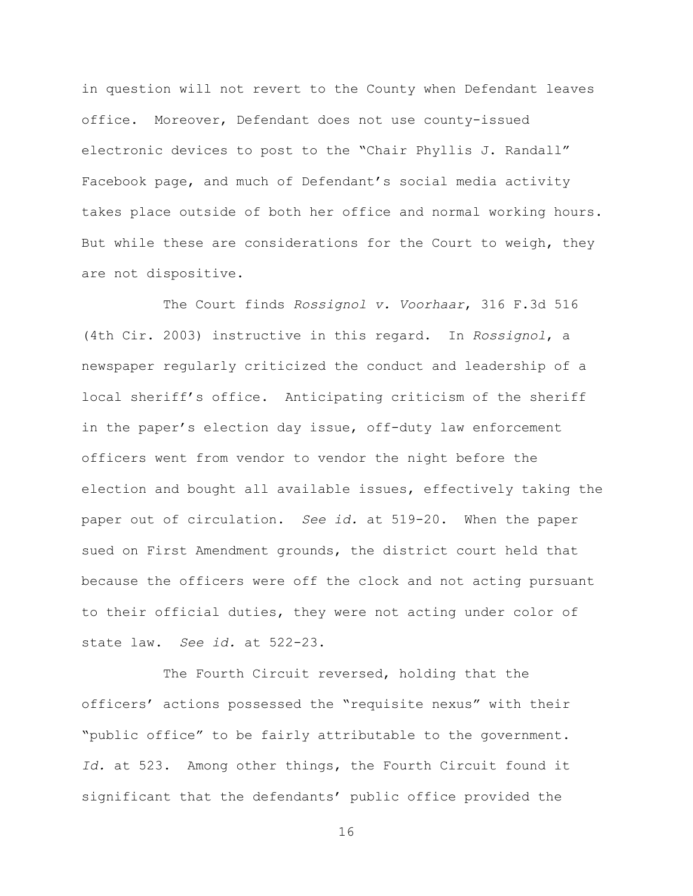in question will not revert to the County when Defendant leaves office. Moreover, Defendant does not use county-issued electronic devices to post to the "Chair Phyllis J. Randall" Facebook page, and much of Defendant's social media activity takes place outside of both her office and normal working hours. But while these are considerations for the Court to weigh, they are not dispositive.

The Court finds *Rossignol v. Voorhaar*, 316 F.3d 516 (4th Cir. 2003) instructive in this regard. In *Rossignol*, a newspaper regularly criticized the conduct and leadership of a local sheriff's office. Anticipating criticism of the sheriff in the paper's election day issue, off-duty law enforcement officers went from vendor to vendor the night before the election and bought all available issues, effectively taking the paper out of circulation. *See id.* at 519-20. When the paper sued on First Amendment grounds, the district court held that because the officers were off the clock and not acting pursuant to their official duties, they were not acting under color of state law. *See id.* at 522-23.

The Fourth Circuit reversed, holding that the officers' actions possessed the "requisite nexus" with their "public office" to be fairly attributable to the government. *Id.* at 523. Among other things, the Fourth Circuit found it significant that the defendants' public office provided the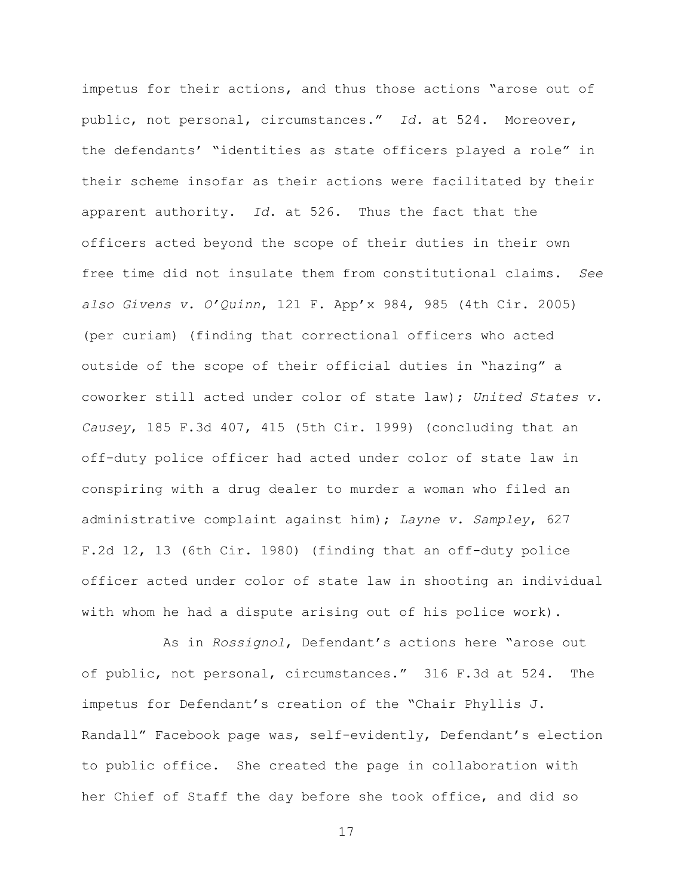impetus for their actions, and thus those actions "arose out of public, not personal, circumstances." *Id.* at 524. Moreover, the defendants' "identities as state officers played a role" in their scheme insofar as their actions were facilitated by their apparent authority. *Id*. at 526. Thus the fact that the officers acted beyond the scope of their duties in their own free time did not insulate them from constitutional claims. *See also Givens v. O'Quinn*, 121 F. App'x 984, 985 (4th Cir. 2005) (per curiam) (finding that correctional officers who acted outside of the scope of their official duties in "hazing" a coworker still acted under color of state law); *United States v. Causey*, 185 F.3d 407, 415 (5th Cir. 1999) (concluding that an off-duty police officer had acted under color of state law in conspiring with a drug dealer to murder a woman who filed an administrative complaint against him); *Layne v. Sampley*, 627 F.2d 12, 13 (6th Cir. 1980) (finding that an off-duty police officer acted under color of state law in shooting an individual with whom he had a dispute arising out of his police work).

As in *Rossignol*, Defendant's actions here "arose out of public, not personal, circumstances." 316 F.3d at 524. The impetus for Defendant's creation of the "Chair Phyllis J. Randall" Facebook page was, self-evidently, Defendant's election to public office. She created the page in collaboration with her Chief of Staff the day before she took office, and did so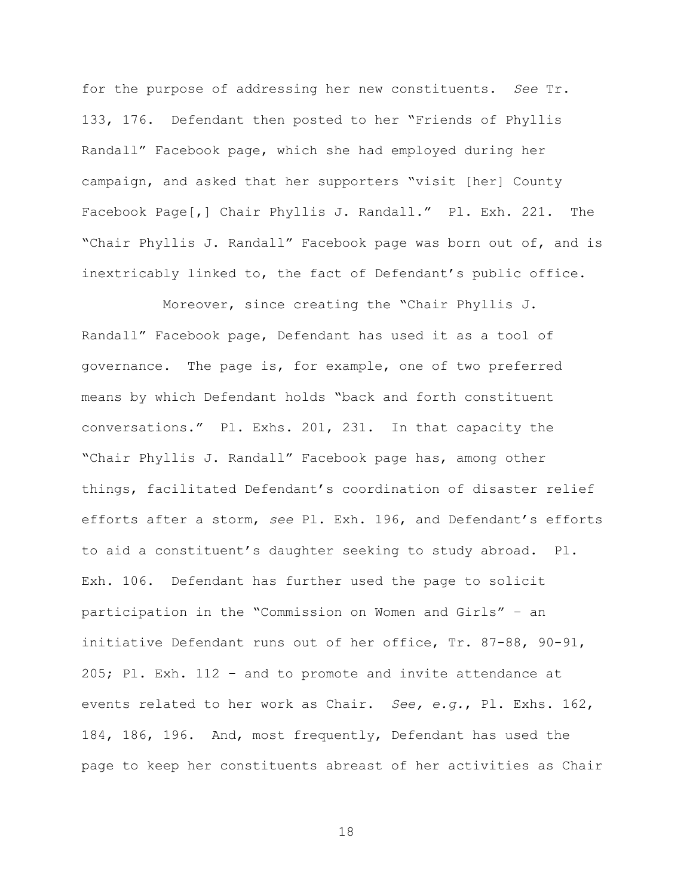for the purpose of addressing her new constituents. *See* Tr. 133, 176. Defendant then posted to her "Friends of Phyllis Randall" Facebook page, which she had employed during her campaign, and asked that her supporters "visit [her] County Facebook Page[,] Chair Phyllis J. Randall." Pl. Exh. 221. The "Chair Phyllis J. Randall" Facebook page was born out of, and is inextricably linked to, the fact of Defendant's public office.

Moreover, since creating the "Chair Phyllis J. Randall" Facebook page, Defendant has used it as a tool of governance. The page is, for example, one of two preferred means by which Defendant holds "back and forth constituent conversations." Pl. Exhs. 201, 231. In that capacity the "Chair Phyllis J. Randall" Facebook page has, among other things, facilitated Defendant's coordination of disaster relief efforts after a storm, *see* Pl. Exh. 196, and Defendant's efforts to aid a constituent's daughter seeking to study abroad. Pl. Exh. 106. Defendant has further used the page to solicit participation in the "Commission on Women and Girls" – an initiative Defendant runs out of her office, Tr. 87-88, 90-91, 205; Pl. Exh. 112 – and to promote and invite attendance at events related to her work as Chair. *See, e.g.*, Pl. Exhs. 162, 184, 186, 196. And, most frequently, Defendant has used the page to keep her constituents abreast of her activities as Chair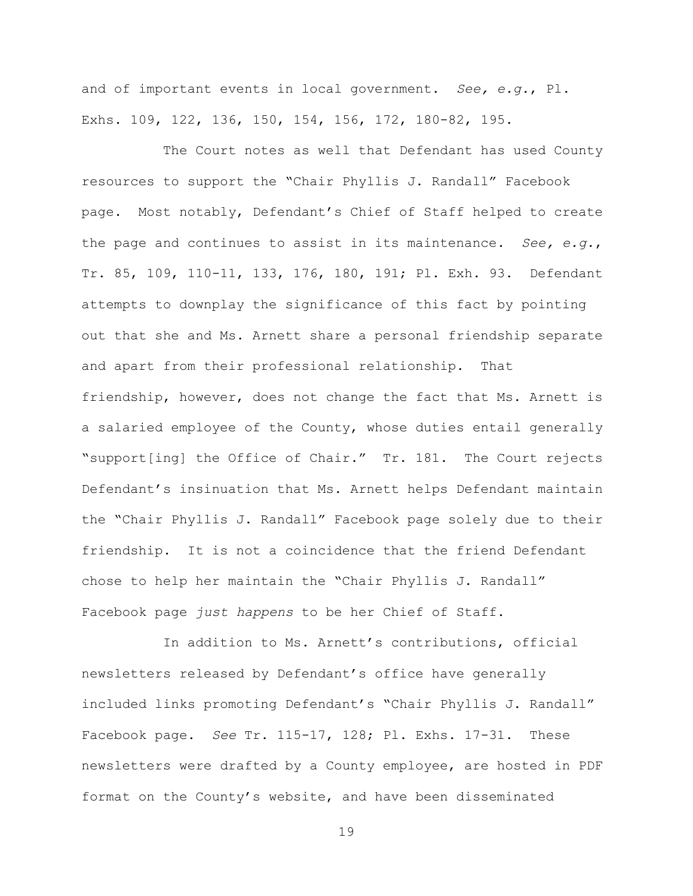and of important events in local government. *See, e.g.*, Pl. Exhs. 109, 122, 136, 150, 154, 156, 172, 180-82, 195.

The Court notes as well that Defendant has used County resources to support the "Chair Phyllis J. Randall" Facebook page. Most notably, Defendant's Chief of Staff helped to create the page and continues to assist in its maintenance. *See, e.g.*, Tr. 85, 109, 110-11, 133, 176, 180, 191; Pl. Exh. 93. Defendant attempts to downplay the significance of this fact by pointing out that she and Ms. Arnett share a personal friendship separate and apart from their professional relationship. That friendship, however, does not change the fact that Ms. Arnett is a salaried employee of the County, whose duties entail generally "support[ing] the Office of Chair." Tr. 181. The Court rejects Defendant's insinuation that Ms. Arnett helps Defendant maintain the "Chair Phyllis J. Randall" Facebook page solely due to their friendship. It is not a coincidence that the friend Defendant chose to help her maintain the "Chair Phyllis J. Randall" Facebook page *just happens* to be her Chief of Staff.

In addition to Ms. Arnett's contributions, official newsletters released by Defendant's office have generally included links promoting Defendant's "Chair Phyllis J. Randall" Facebook page. *See* Tr. 115-17, 128; Pl. Exhs. 17-31. These newsletters were drafted by a County employee, are hosted in PDF format on the County's website, and have been disseminated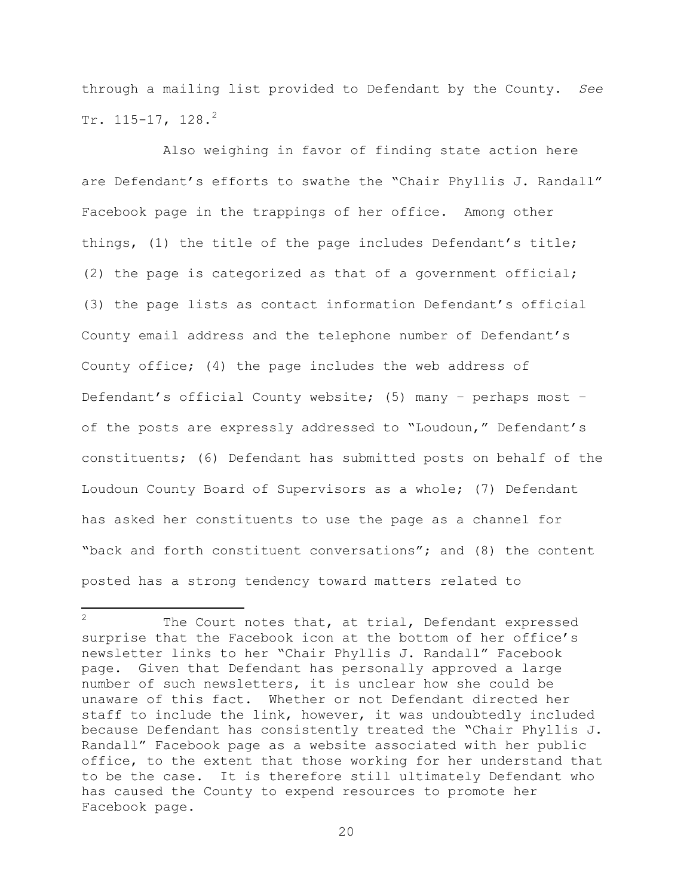through a mailing list provided to Defendant by the County. *See* Tr.  $115-17$ ,  $128.$ <sup>2</sup>

Also weighing in favor of finding state action here are Defendant's efforts to swathe the "Chair Phyllis J. Randall" Facebook page in the trappings of her office. Among other things, (1) the title of the page includes Defendant's title; (2) the page is categorized as that of a government official; (3) the page lists as contact information Defendant's official County email address and the telephone number of Defendant's County office; (4) the page includes the web address of Defendant's official County website; (5) many – perhaps most – of the posts are expressly addressed to "Loudoun," Defendant's constituents; (6) Defendant has submitted posts on behalf of the Loudoun County Board of Supervisors as a whole; (7) Defendant has asked her constituents to use the page as a channel for "back and forth constituent conversations"; and (8) the content posted has a strong tendency toward matters related to

 $\mathcal{P}$ The Court notes that, at trial, Defendant expressed surprise that the Facebook icon at the bottom of her office's newsletter links to her "Chair Phyllis J. Randall" Facebook page. Given that Defendant has personally approved a large number of such newsletters, it is unclear how she could be unaware of this fact. Whether or not Defendant directed her staff to include the link, however, it was undoubtedly included because Defendant has consistently treated the "Chair Phyllis J. Randall" Facebook page as a website associated with her public office, to the extent that those working for her understand that to be the case. It is therefore still ultimately Defendant who has caused the County to expend resources to promote her Facebook page.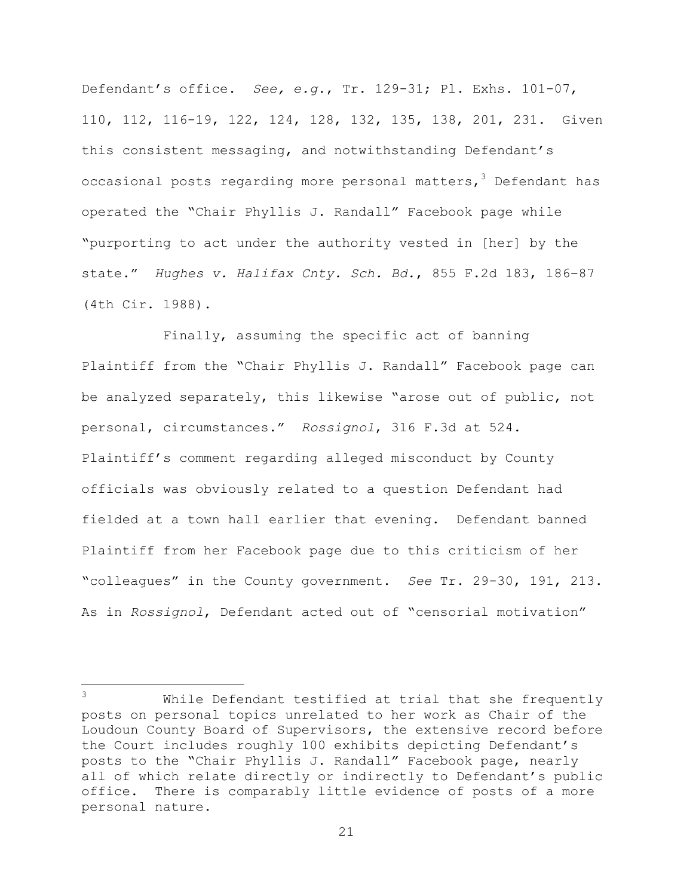Defendant's office. *See, e.g.*, Tr. 129-31; Pl. Exhs. 101-07, 110, 112, 116-19, 122, 124, 128, 132, 135, 138, 201, 231. Given this consistent messaging, and notwithstanding Defendant's occasional posts regarding more personal matters, <sup>3</sup> Defendant has operated the "Chair Phyllis J. Randall" Facebook page while "purporting to act under the authority vested in [her] by the state." *Hughes v. Halifax Cnty. Sch. Bd.*, 855 F.2d 183, 186–87 (4th Cir. 1988).

Finally, assuming the specific act of banning Plaintiff from the "Chair Phyllis J. Randall" Facebook page can be analyzed separately, this likewise "arose out of public, not personal, circumstances." *Rossignol*, 316 F.3d at 524. Plaintiff's comment regarding alleged misconduct by County officials was obviously related to a question Defendant had fielded at a town hall earlier that evening. Defendant banned Plaintiff from her Facebook page due to this criticism of her "colleagues" in the County government. *See* Tr. 29-30, 191, 213. As in *Rossignol*, Defendant acted out of "censorial motivation"

 $\mathcal{L}$ While Defendant testified at trial that she frequently posts on personal topics unrelated to her work as Chair of the Loudoun County Board of Supervisors, the extensive record before the Court includes roughly 100 exhibits depicting Defendant's posts to the "Chair Phyllis J. Randall" Facebook page, nearly all of which relate directly or indirectly to Defendant's public office. There is comparably little evidence of posts of a more personal nature.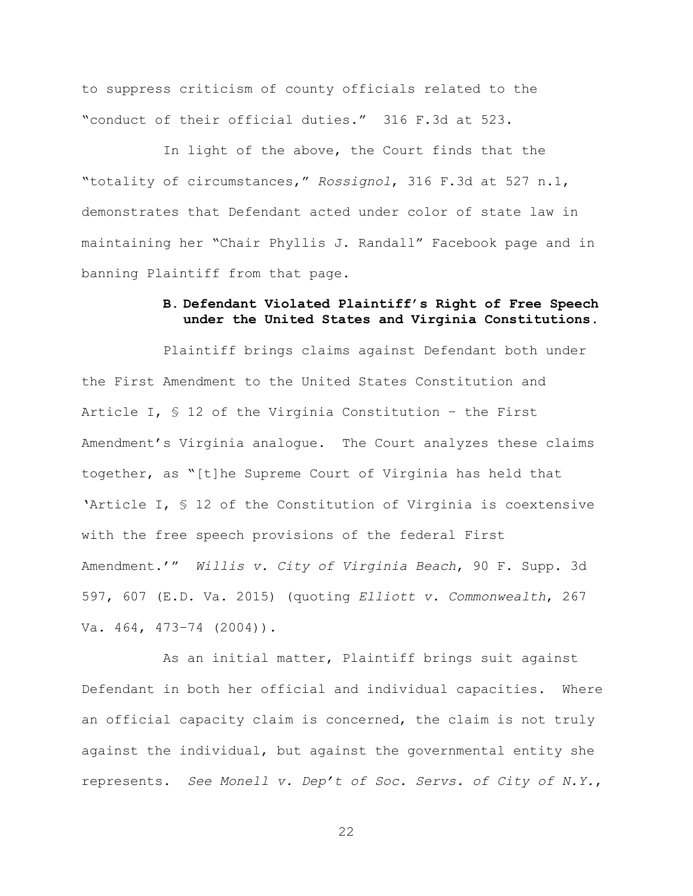to suppress criticism of county officials related to the "conduct of their official duties." 316 F.3d at 523.

In light of the above, the Court finds that the "totality of circumstances," *Rossignol*, 316 F.3d at 527 n.1, demonstrates that Defendant acted under color of state law in maintaining her "Chair Phyllis J. Randall" Facebook page and in banning Plaintiff from that page.

# **B. Defendant Violated Plaintiff's Right of Free Speech under the United States and Virginia Constitutions.**

Plaintiff brings claims against Defendant both under the First Amendment to the United States Constitution and Article I, § 12 of the Virginia Constitution – the First Amendment's Virginia analogue. The Court analyzes these claims together, as "[t]he Supreme Court of Virginia has held that 'Article I, § 12 of the Constitution of Virginia is coextensive with the free speech provisions of the federal First Amendment.'" *Willis v. City of Virginia Beach*, 90 F. Supp. 3d 597, 607 (E.D. Va. 2015) (quoting *Elliott v. Commonwealth*, 267 Va. 464, 473-74 (2004)).

As an initial matter, Plaintiff brings suit against Defendant in both her official and individual capacities. Where an official capacity claim is concerned, the claim is not truly against the individual, but against the governmental entity she represents. *See Monell v. Dep't of Soc. Servs. of City of N.Y.*,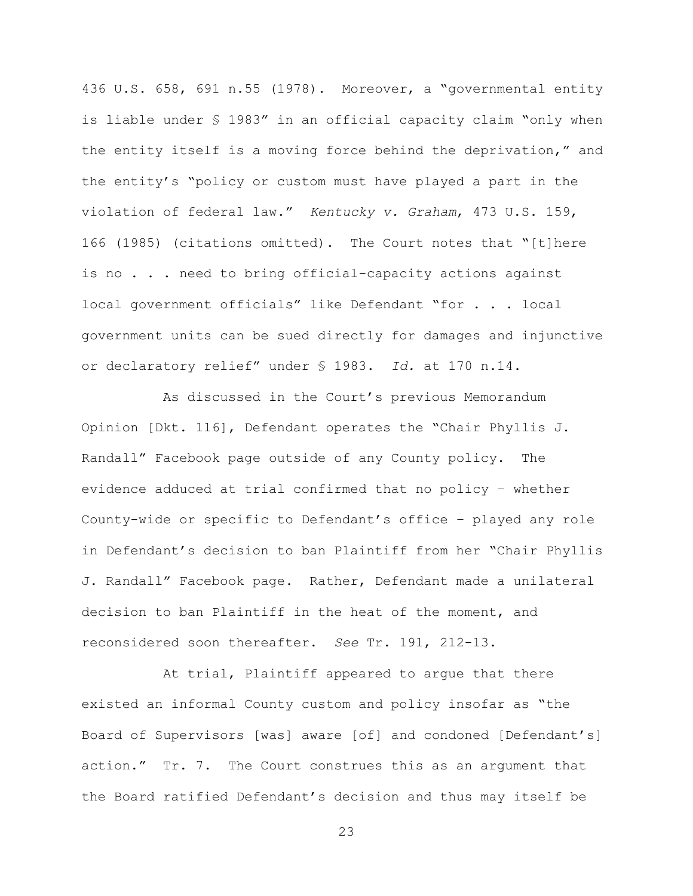436 U.S. 658, 691 n.55 (1978). Moreover, a "governmental entity is liable under § 1983" in an official capacity claim "only when the entity itself is a moving force behind the deprivation," and the entity's "policy or custom must have played a part in the violation of federal law." *Kentucky v. Graham*, 473 U.S. 159, 166 (1985) (citations omitted). The Court notes that "[t]here is no . . . need to bring official-capacity actions against local government officials" like Defendant "for . . . local government units can be sued directly for damages and injunctive or declaratory relief" under § 1983. *Id.* at 170 n.14.

As discussed in the Court's previous Memorandum Opinion [Dkt. 116], Defendant operates the "Chair Phyllis J. Randall" Facebook page outside of any County policy. The evidence adduced at trial confirmed that no policy – whether County-wide or specific to Defendant's office – played any role in Defendant's decision to ban Plaintiff from her "Chair Phyllis J. Randall" Facebook page. Rather, Defendant made a unilateral decision to ban Plaintiff in the heat of the moment, and reconsidered soon thereafter. *See* Tr. 191, 212-13.

At trial, Plaintiff appeared to argue that there existed an informal County custom and policy insofar as "the Board of Supervisors [was] aware [of] and condoned [Defendant's] action." Tr. 7. The Court construes this as an argument that the Board ratified Defendant's decision and thus may itself be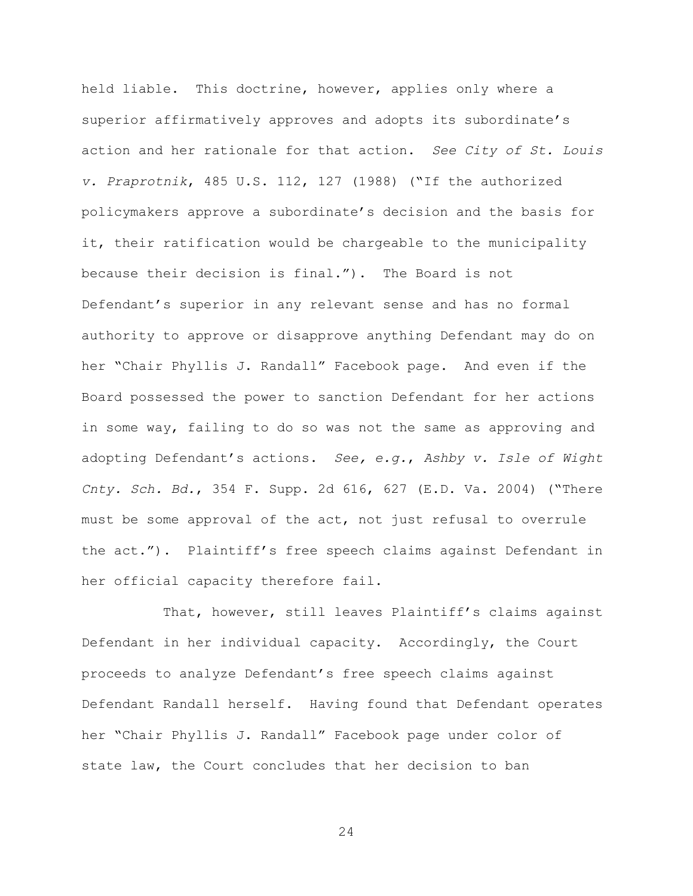held liable. This doctrine, however, applies only where a superior affirmatively approves and adopts its subordinate's action and her rationale for that action. *See City of St. Louis v. Praprotnik*, 485 U.S. 112, 127 (1988) ("If the authorized policymakers approve a subordinate's decision and the basis for it, their ratification would be chargeable to the municipality because their decision is final."). The Board is not Defendant's superior in any relevant sense and has no formal authority to approve or disapprove anything Defendant may do on her "Chair Phyllis J. Randall" Facebook page. And even if the Board possessed the power to sanction Defendant for her actions in some way, failing to do so was not the same as approving and adopting Defendant's actions. *See, e.g.*, *Ashby v. Isle of Wight Cnty. Sch. Bd.*, 354 F. Supp. 2d 616, 627 (E.D. Va. 2004) ("There must be some approval of the act, not just refusal to overrule the act."). Plaintiff's free speech claims against Defendant in her official capacity therefore fail.

That, however, still leaves Plaintiff's claims against Defendant in her individual capacity. Accordingly, the Court proceeds to analyze Defendant's free speech claims against Defendant Randall herself. Having found that Defendant operates her "Chair Phyllis J. Randall" Facebook page under color of state law, the Court concludes that her decision to ban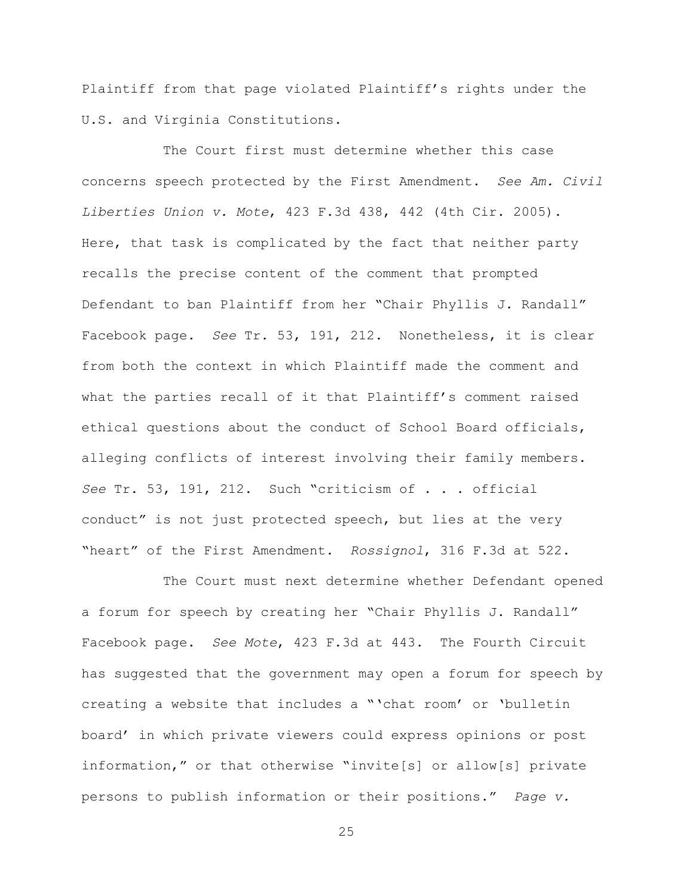Plaintiff from that page violated Plaintiff's rights under the U.S. and Virginia Constitutions.

The Court first must determine whether this case concerns speech protected by the First Amendment. *See Am. Civil Liberties Union v. Mote*, 423 F.3d 438, 442 (4th Cir. 2005). Here, that task is complicated by the fact that neither party recalls the precise content of the comment that prompted Defendant to ban Plaintiff from her "Chair Phyllis J. Randall" Facebook page. *See* Tr. 53, 191, 212. Nonetheless, it is clear from both the context in which Plaintiff made the comment and what the parties recall of it that Plaintiff's comment raised ethical questions about the conduct of School Board officials, alleging conflicts of interest involving their family members. *See* Tr. 53, 191, 212. Such "criticism of . . . official conduct" is not just protected speech, but lies at the very "heart" of the First Amendment. *Rossignol*, 316 F.3d at 522.

The Court must next determine whether Defendant opened a forum for speech by creating her "Chair Phyllis J. Randall" Facebook page. *See Mote*, 423 F.3d at 443. The Fourth Circuit has suggested that the government may open a forum for speech by creating a website that includes a "'chat room' or 'bulletin board' in which private viewers could express opinions or post information," or that otherwise "invite[s] or allow[s] private persons to publish information or their positions." *Page v.*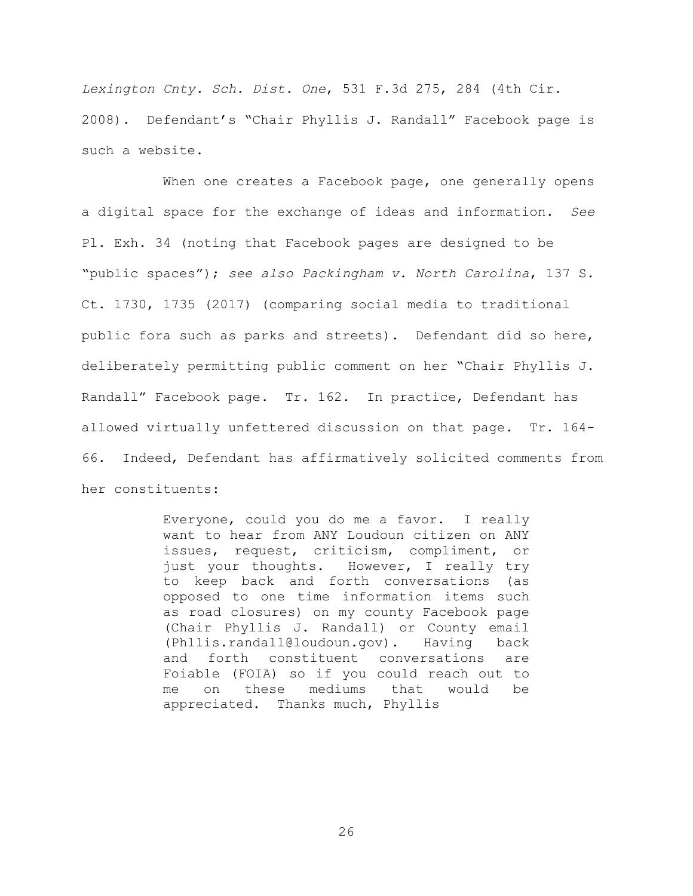*Lexington Cnty. Sch. Dist. One*, 531 F.3d 275, 284 (4th Cir. 2008). Defendant's "Chair Phyllis J. Randall" Facebook page is such a website.

When one creates a Facebook page, one generally opens a digital space for the exchange of ideas and information. *See* Pl. Exh. 34 (noting that Facebook pages are designed to be "public spaces"); *see also Packingham v. North Carolina*, 137 S. Ct. 1730, 1735 (2017) (comparing social media to traditional public fora such as parks and streets). Defendant did so here, deliberately permitting public comment on her "Chair Phyllis J. Randall" Facebook page. Tr. 162. In practice, Defendant has allowed virtually unfettered discussion on that page. Tr. 164- 66. Indeed, Defendant has affirmatively solicited comments from her constituents:

> Everyone, could you do me a favor. I really want to hear from ANY Loudoun citizen on ANY issues, request, criticism, compliment, or just your thoughts. However, I really try to keep back and forth conversations (as opposed to one time information items such as road closures) on my county Facebook page (Chair Phyllis J. Randall) or County email (Phllis.randall@loudoun.gov). Having back and forth constituent conversations are Foiable (FOIA) so if you could reach out to me on these mediums that would be appreciated. Thanks much, Phyllis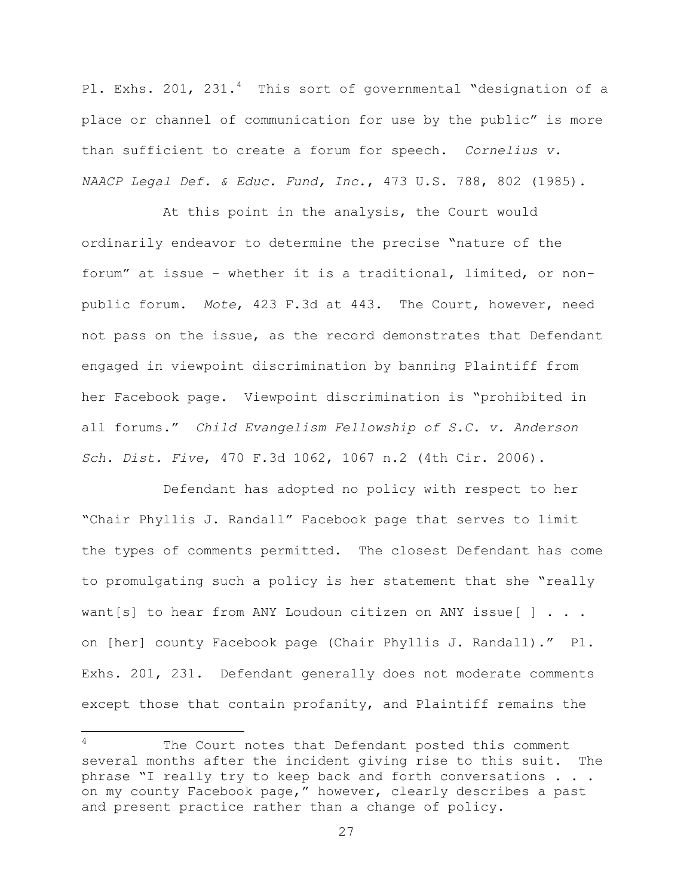Pl. Exhs. 201, 231.<sup>4</sup> This sort of governmental "designation of a place or channel of communication for use by the public" is more than sufficient to create a forum for speech. *Cornelius v. NAACP Legal Def. & Educ. Fund, Inc.*, 473 U.S. 788, 802 (1985).

At this point in the analysis, the Court would ordinarily endeavor to determine the precise "nature of the forum" at issue – whether it is a traditional, limited, or nonpublic forum. *Mote*, 423 F.3d at 443. The Court, however, need not pass on the issue, as the record demonstrates that Defendant engaged in viewpoint discrimination by banning Plaintiff from her Facebook page. Viewpoint discrimination is "prohibited in all forums." *Child Evangelism Fellowship of S.C. v. Anderson Sch. Dist. Five*, 470 F.3d 1062, 1067 n.2 (4th Cir. 2006).

Defendant has adopted no policy with respect to her "Chair Phyllis J. Randall" Facebook page that serves to limit the types of comments permitted. The closest Defendant has come to promulgating such a policy is her statement that she "really want [s] to hear from ANY Loudoun citizen on ANY issue  $[ \ ]$  . . . on [her] county Facebook page (Chair Phyllis J. Randall)." Pl. Exhs. 201, 231. Defendant generally does not moderate comments except those that contain profanity, and Plaintiff remains the

 $\overline{a}$ 

<sup>&</sup>lt;sup>4</sup> The Court notes that Defendant posted this comment several months after the incident giving rise to this suit. The phrase "I really try to keep back and forth conversations . . . on my county Facebook page," however, clearly describes a past and present practice rather than a change of policy.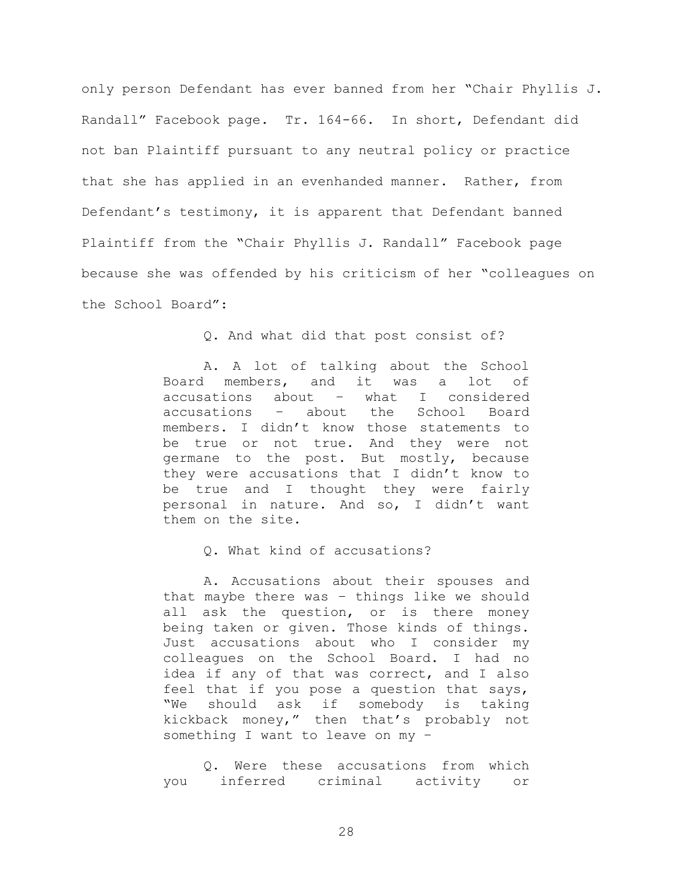only person Defendant has ever banned from her "Chair Phyllis J. Randall" Facebook page. Tr. 164-66. In short, Defendant did not ban Plaintiff pursuant to any neutral policy or practice that she has applied in an evenhanded manner. Rather, from Defendant's testimony, it is apparent that Defendant banned Plaintiff from the "Chair Phyllis J. Randall" Facebook page because she was offended by his criticism of her "colleagues on the School Board":

Q. And what did that post consist of?

A. A lot of talking about the School Board members, and it was a lot of accusations about – what I considered<br>accusations – about the School Board accusations – about the School Board members. I didn't know those statements to be true or not true. And they were not germane to the post. But mostly, because they were accusations that I didn't know to be true and I thought they were fairly personal in nature. And so, I didn't want them on the site.

Q. What kind of accusations?

A. Accusations about their spouses and that maybe there was – things like we should all ask the question, or is there money being taken or given. Those kinds of things. Just accusations about who I consider my colleagues on the School Board. I had no idea if any of that was correct, and I also feel that if you pose a question that says, "We should ask if somebody is taking kickback money," then that's probably not something I want to leave on my –

Q. Were these accusations from which you inferred criminal activity or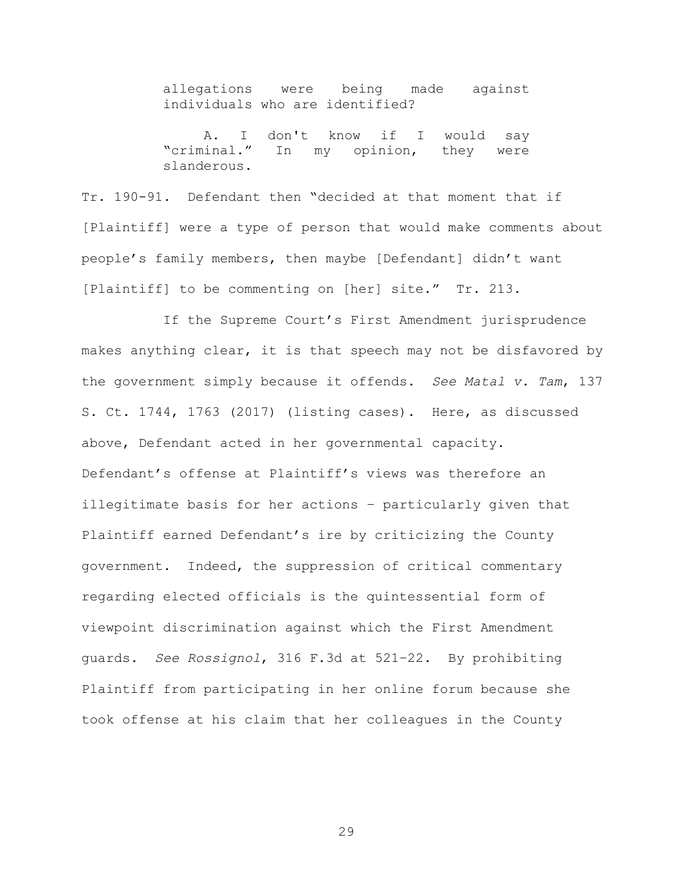allegations were being made against individuals who are identified?

A. I don't know if I would say "criminal." In my opinion, they were slanderous.

Tr. 190-91. Defendant then "decided at that moment that if [Plaintiff] were a type of person that would make comments about people's family members, then maybe [Defendant] didn't want [Plaintiff] to be commenting on [her] site." Tr. 213.

If the Supreme Court's First Amendment jurisprudence makes anything clear, it is that speech may not be disfavored by the government simply because it offends. *See Matal v. Tam*, 137 S. Ct. 1744, 1763 (2017) (listing cases). Here, as discussed above, Defendant acted in her governmental capacity. Defendant's offense at Plaintiff's views was therefore an illegitimate basis for her actions – particularly given that Plaintiff earned Defendant's ire by criticizing the County government. Indeed, the suppression of critical commentary regarding elected officials is the quintessential form of viewpoint discrimination against which the First Amendment guards. *See Rossignol*, 316 F.3d at 521–22. By prohibiting Plaintiff from participating in her online forum because she took offense at his claim that her colleagues in the County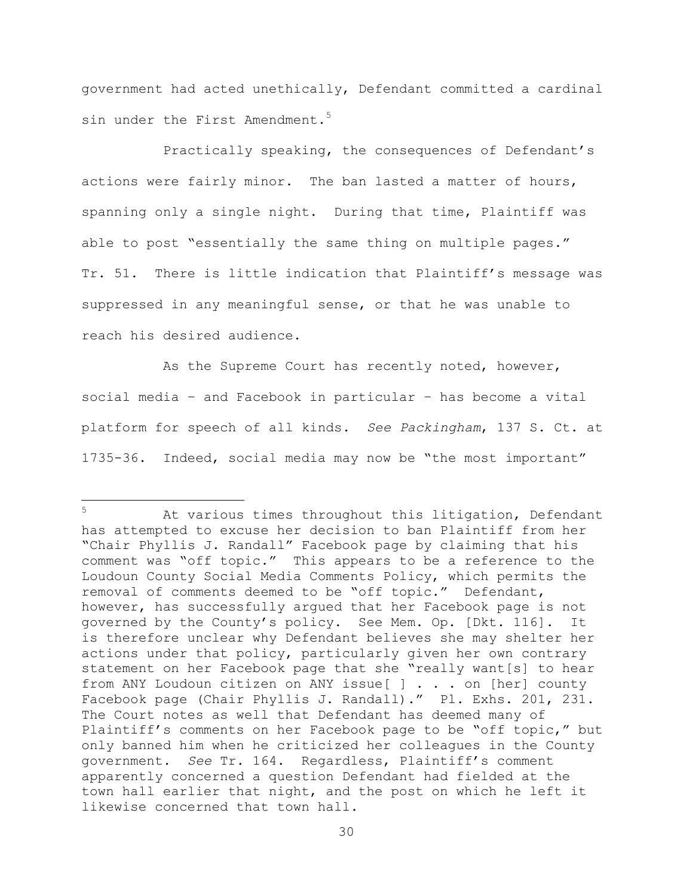government had acted unethically, Defendant committed a cardinal sin under the First Amendment.<sup>5</sup>

Practically speaking, the consequences of Defendant's actions were fairly minor. The ban lasted a matter of hours, spanning only a single night. During that time, Plaintiff was able to post "essentially the same thing on multiple pages." Tr. 51. There is little indication that Plaintiff's message was suppressed in any meaningful sense, or that he was unable to reach his desired audience.

As the Supreme Court has recently noted, however, social media – and Facebook in particular – has become a vital platform for speech of all kinds. *See Packingham*, 137 S. Ct. at 1735-36. Indeed, social media may now be "the most important"

 $5 -$ At various times throughout this litigation, Defendant has attempted to excuse her decision to ban Plaintiff from her "Chair Phyllis J. Randall" Facebook page by claiming that his comment was "off topic." This appears to be a reference to the Loudoun County Social Media Comments Policy, which permits the removal of comments deemed to be "off topic." Defendant, however, has successfully argued that her Facebook page is not governed by the County's policy. See Mem. Op. [Dkt. 116]. It is therefore unclear why Defendant believes she may shelter her actions under that policy, particularly given her own contrary statement on her Facebook page that she "really want[s] to hear from ANY Loudoun citizen on ANY issue[ ] . . . on [her] county Facebook page (Chair Phyllis J. Randall)." Pl. Exhs. 201, 231. The Court notes as well that Defendant has deemed many of Plaintiff's comments on her Facebook page to be "off topic," but only banned him when he criticized her colleagues in the County government. *See* Tr. 164. Regardless, Plaintiff's comment apparently concerned a question Defendant had fielded at the town hall earlier that night, and the post on which he left it likewise concerned that town hall.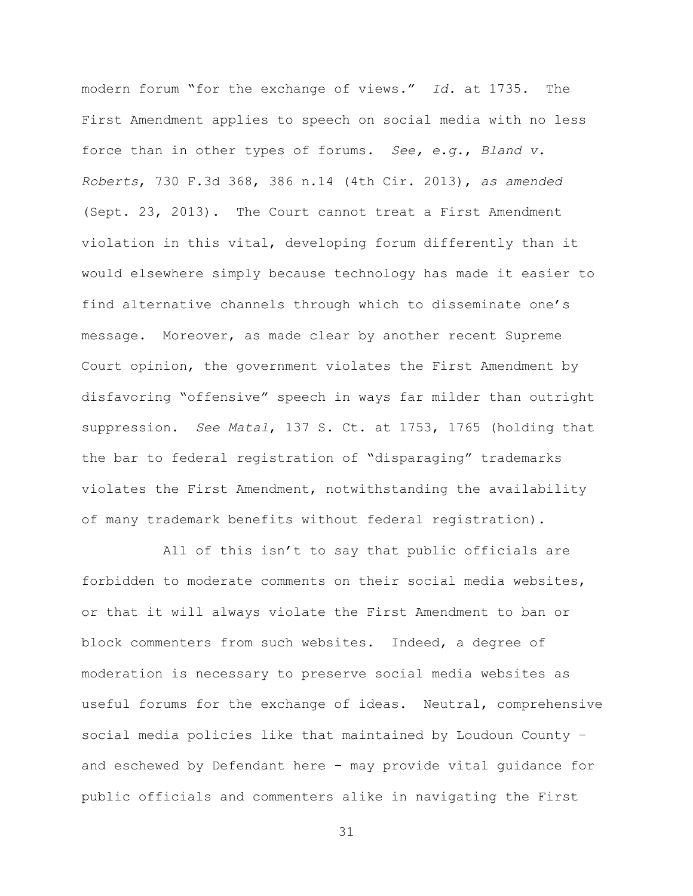modern forum "for the exchange of views." *Id.* at 1735. The First Amendment applies to speech on social media with no less force than in other types of forums. *See, e.g.*, *Bland v. Roberts*, 730 F.3d 368, 386 n.14 (4th Cir. 2013), *as amended* (Sept. 23, 2013). The Court cannot treat a First Amendment violation in this vital, developing forum differently than it would elsewhere simply because technology has made it easier to find alternative channels through which to disseminate one's message. Moreover, as made clear by another recent Supreme Court opinion, the government violates the First Amendment by disfavoring "offensive" speech in ways far milder than outright suppression. *See Matal*, 137 S. Ct. at 1753, 1765 (holding that the bar to federal registration of "disparaging" trademarks violates the First Amendment, notwithstanding the availability of many trademark benefits without federal registration).

All of this isn't to say that public officials are forbidden to moderate comments on their social media websites, or that it will always violate the First Amendment to ban or block commenters from such websites. Indeed, a degree of moderation is necessary to preserve social media websites as useful forums for the exchange of ideas. Neutral, comprehensive social media policies like that maintained by Loudoun County – and eschewed by Defendant here – may provide vital guidance for public officials and commenters alike in navigating the First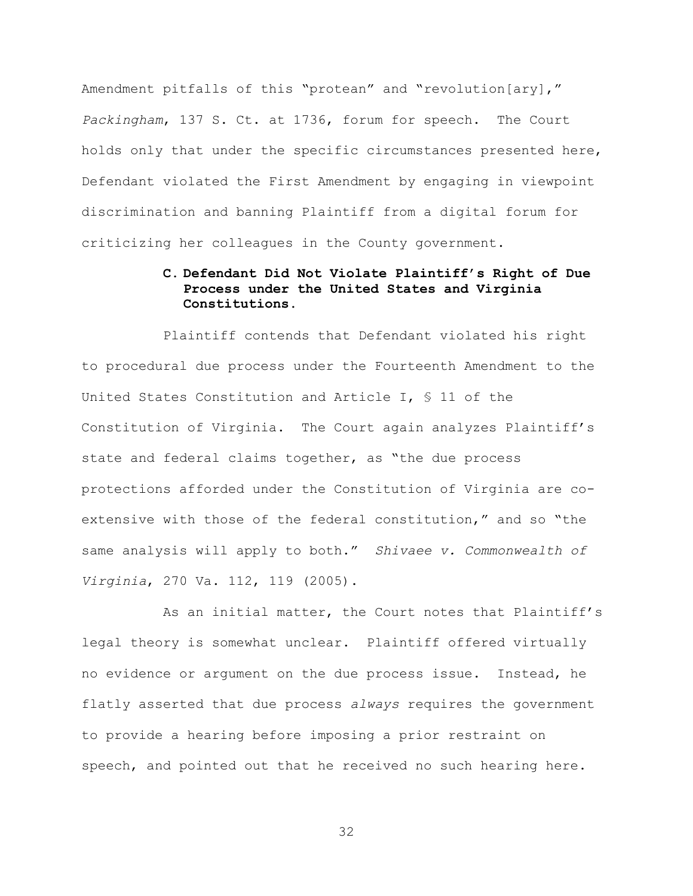Amendment pitfalls of this "protean" and "revolution[ary]," *Packingham*, 137 S. Ct. at 1736, forum for speech. The Court holds only that under the specific circumstances presented here, Defendant violated the First Amendment by engaging in viewpoint discrimination and banning Plaintiff from a digital forum for criticizing her colleagues in the County government.

# **C. Defendant Did Not Violate Plaintiff's Right of Due Process under the United States and Virginia Constitutions.**

Plaintiff contends that Defendant violated his right to procedural due process under the Fourteenth Amendment to the United States Constitution and Article I, § 11 of the Constitution of Virginia. The Court again analyzes Plaintiff's state and federal claims together, as "the due process protections afforded under the Constitution of Virginia are coextensive with those of the federal constitution," and so "the same analysis will apply to both." *Shivaee v. Commonwealth of Virginia*, 270 Va. 112, 119 (2005).

As an initial matter, the Court notes that Plaintiff's legal theory is somewhat unclear. Plaintiff offered virtually no evidence or argument on the due process issue. Instead, he flatly asserted that due process *always* requires the government to provide a hearing before imposing a prior restraint on speech, and pointed out that he received no such hearing here.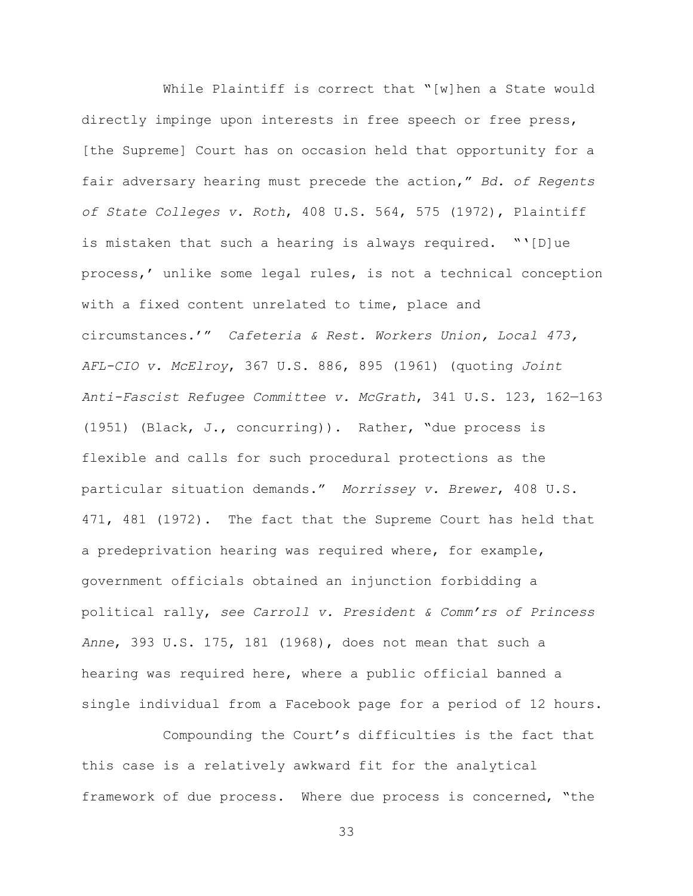While Plaintiff is correct that "[w]hen a State would directly impinge upon interests in free speech or free press, [the Supreme] Court has on occasion held that opportunity for a fair adversary hearing must precede the action," *Bd. of Regents of State Colleges v. Roth*, 408 U.S. 564, 575 (1972), Plaintiff is mistaken that such a hearing is always required. "'[D]ue process,' unlike some legal rules, is not a technical conception with a fixed content unrelated to time, place and circumstances.'" *Cafeteria & Rest. Workers Union, Local 473, AFL-CIO v. McElroy*, 367 U.S. 886, 895 (1961) (quoting *Joint Anti-Fascist Refugee Committee v. McGrath*, 341 U.S. 123, 162—163 (1951) (Black, J., concurring)). Rather, "due process is flexible and calls for such procedural protections as the particular situation demands." *Morrissey v. Brewer*, 408 U.S. 471, 481 (1972). The fact that the Supreme Court has held that a predeprivation hearing was required where, for example, government officials obtained an injunction forbidding a political rally, *see Carroll v. President & Comm'rs of Princess Anne*, 393 U.S. 175, 181 (1968), does not mean that such a hearing was required here, where a public official banned a single individual from a Facebook page for a period of 12 hours.

Compounding the Court's difficulties is the fact that this case is a relatively awkward fit for the analytical framework of due process. Where due process is concerned, "the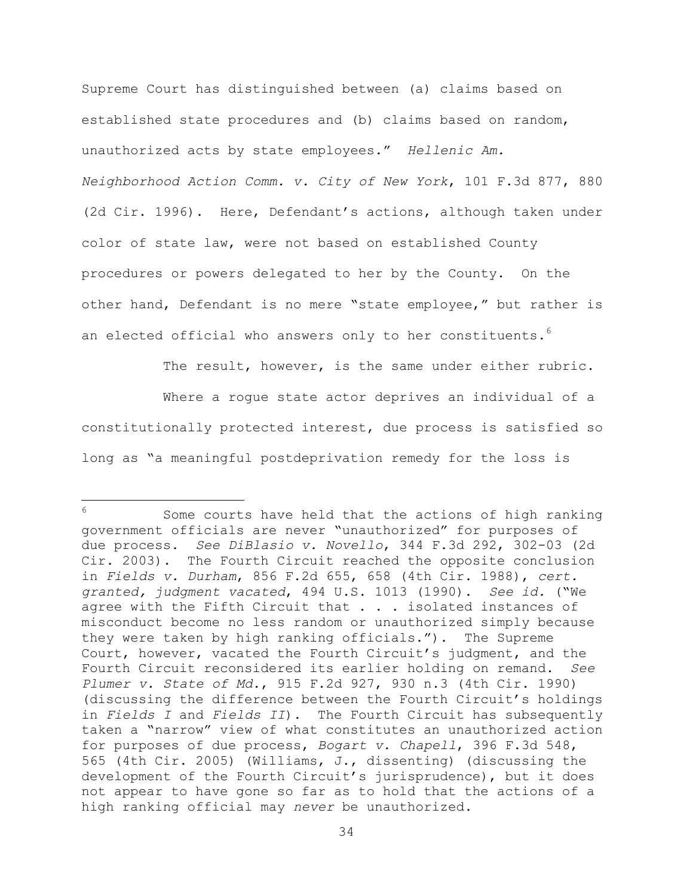Supreme Court has distinguished between (a) claims based on established state procedures and (b) claims based on random, unauthorized acts by state employees." *Hellenic Am. Neighborhood Action Comm. v. City of New York*, 101 F.3d 877, 880 (2d Cir. 1996). Here, Defendant's actions, although taken under color of state law, were not based on established County procedures or powers delegated to her by the County. On the other hand, Defendant is no mere "state employee," but rather is an elected official who answers only to her constituents.<sup>6</sup>

The result, however, is the same under either rubric.

Where a rogue state actor deprives an individual of a constitutionally protected interest, due process is satisfied so long as "a meaningful postdeprivation remedy for the loss is

 $6^{\circ}$ Some courts have held that the actions of high ranking government officials are never "unauthorized" for purposes of due process. *See DiBlasio v. Novello*, 344 F.3d 292, 302-03 (2d Cir. 2003). The Fourth Circuit reached the opposite conclusion in *Fields v. Durham*, 856 F.2d 655, 658 (4th Cir. 1988), *cert. granted, judgment vacated*, 494 U.S. 1013 (1990). *See id.* ("We agree with the Fifth Circuit that . . . isolated instances of misconduct become no less random or unauthorized simply because they were taken by high ranking officials."). The Supreme Court, however, vacated the Fourth Circuit's judgment, and the Fourth Circuit reconsidered its earlier holding on remand. *See Plumer v. State of Md.*, 915 F.2d 927, 930 n.3 (4th Cir. 1990) (discussing the difference between the Fourth Circuit's holdings in *Fields I* and *Fields II*). The Fourth Circuit has subsequently taken a "narrow" view of what constitutes an unauthorized action for purposes of due process, *Bogart v. Chapell*, 396 F.3d 548, 565 (4th Cir. 2005) (Williams, J., dissenting) (discussing the development of the Fourth Circuit's jurisprudence), but it does not appear to have gone so far as to hold that the actions of a high ranking official may *never* be unauthorized.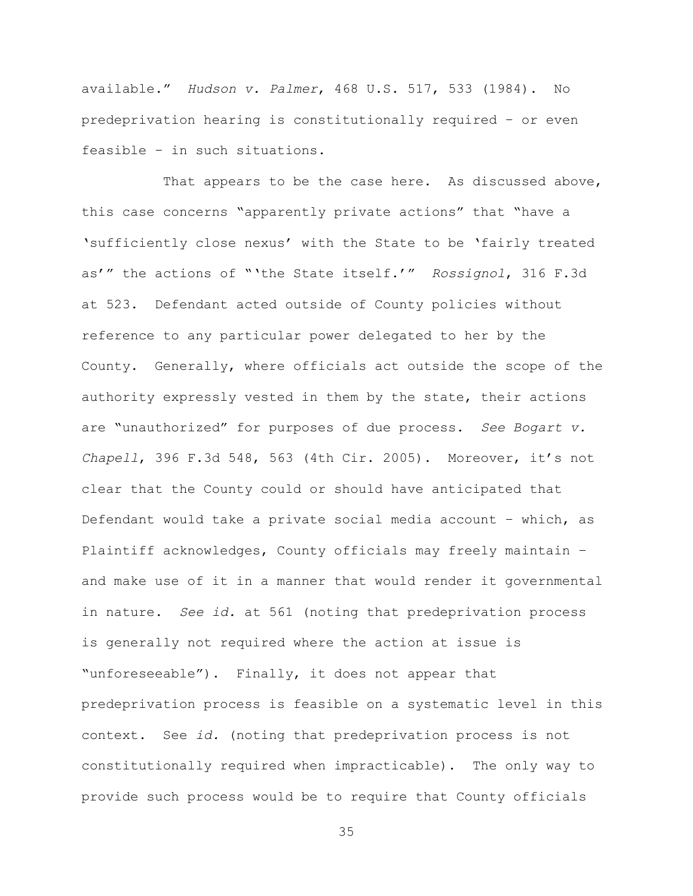available." *Hudson v. Palmer*, 468 U.S. 517, 533 (1984). No predeprivation hearing is constitutionally required – or even feasible – in such situations.

That appears to be the case here. As discussed above, this case concerns "apparently private actions" that "have a 'sufficiently close nexus' with the State to be 'fairly treated as'" the actions of "'the State itself.'" *Rossignol*, 316 F.3d at 523. Defendant acted outside of County policies without reference to any particular power delegated to her by the County. Generally, where officials act outside the scope of the authority expressly vested in them by the state, their actions are "unauthorized" for purposes of due process. *See Bogart v. Chapell*, 396 F.3d 548, 563 (4th Cir. 2005). Moreover, it's not clear that the County could or should have anticipated that Defendant would take a private social media account – which, as Plaintiff acknowledges, County officials may freely maintain – and make use of it in a manner that would render it governmental in nature. *See id.* at 561 (noting that predeprivation process is generally not required where the action at issue is "unforeseeable"). Finally, it does not appear that predeprivation process is feasible on a systematic level in this context. See *id.* (noting that predeprivation process is not constitutionally required when impracticable).The only way to provide such process would be to require that County officials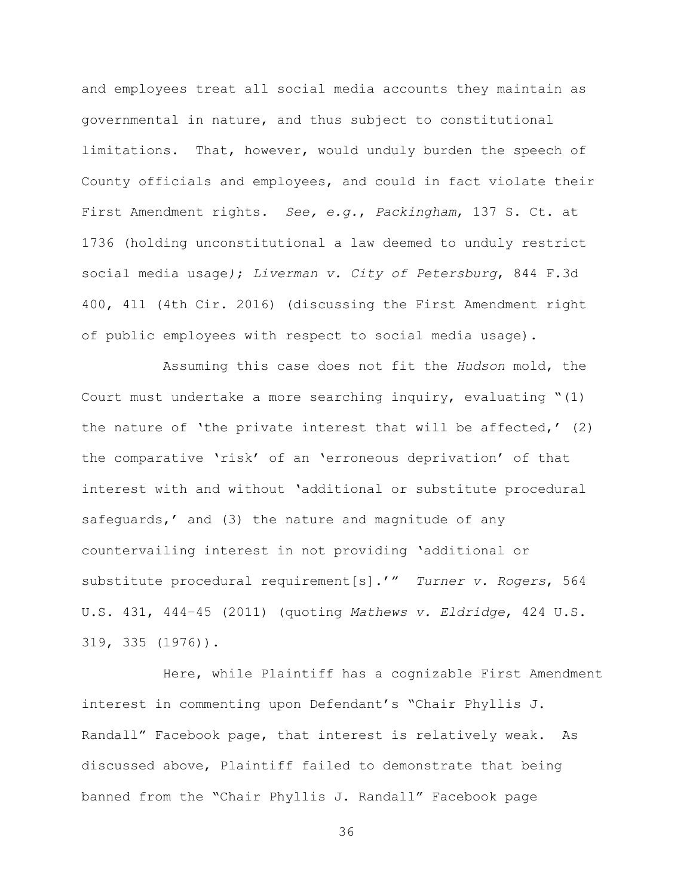and employees treat all social media accounts they maintain as governmental in nature, and thus subject to constitutional limitations. That, however, would unduly burden the speech of County officials and employees, and could in fact violate their First Amendment rights. *See, e.g.*, *Packingham*, 137 S. Ct. at 1736 (holding unconstitutional a law deemed to unduly restrict social media usage*)*; *Liverman v. City of Petersburg*, 844 F.3d 400, 411 (4th Cir. 2016) (discussing the First Amendment right of public employees with respect to social media usage).

Assuming this case does not fit the *Hudson* mold, the Court must undertake a more searching inquiry, evaluating "(1) the nature of 'the private interest that will be affected,' (2) the comparative 'risk' of an 'erroneous deprivation' of that interest with and without 'additional or substitute procedural safeguards,' and (3) the nature and magnitude of any countervailing interest in not providing 'additional or substitute procedural requirement[s].'" *Turner v. Rogers*, 564 U.S. 431, 444–45 (2011) (quoting *Mathews v. Eldridge*, 424 U.S. 319, 335 (1976)).

Here, while Plaintiff has a cognizable First Amendment interest in commenting upon Defendant's "Chair Phyllis J. Randall" Facebook page, that interest is relatively weak. As discussed above, Plaintiff failed to demonstrate that being banned from the "Chair Phyllis J. Randall" Facebook page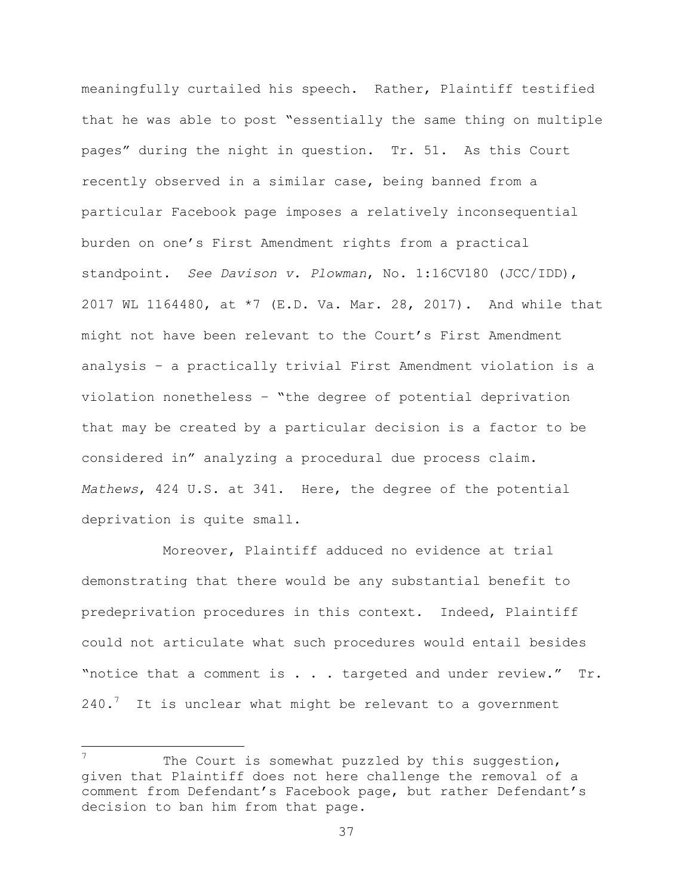meaningfully curtailed his speech. Rather, Plaintiff testified that he was able to post "essentially the same thing on multiple pages" during the night in question. Tr. 51. As this Court recently observed in a similar case, being banned from a particular Facebook page imposes a relatively inconsequential burden on one's First Amendment rights from a practical standpoint. *See Davison v. Plowman*, No. 1:16CV180 (JCC/IDD), 2017 WL 1164480, at \*7 (E.D. Va. Mar. 28, 2017). And while that might not have been relevant to the Court's First Amendment analysis – a practically trivial First Amendment violation is a violation nonetheless – "the degree of potential deprivation that may be created by a particular decision is a factor to be considered in" analyzing a procedural due process claim. *Mathews*, 424 U.S. at 341. Here, the degree of the potential deprivation is quite small.

Moreover, Plaintiff adduced no evidence at trial demonstrating that there would be any substantial benefit to predeprivation procedures in this context. Indeed, Plaintiff could not articulate what such procedures would entail besides "notice that a comment is . . . targeted and under review." Tr.  $240.7$  It is unclear what might be relevant to a government

 $\overline{a}$ 

The Court is somewhat puzzled by this suggestion, given that Plaintiff does not here challenge the removal of a comment from Defendant's Facebook page, but rather Defendant's decision to ban him from that page.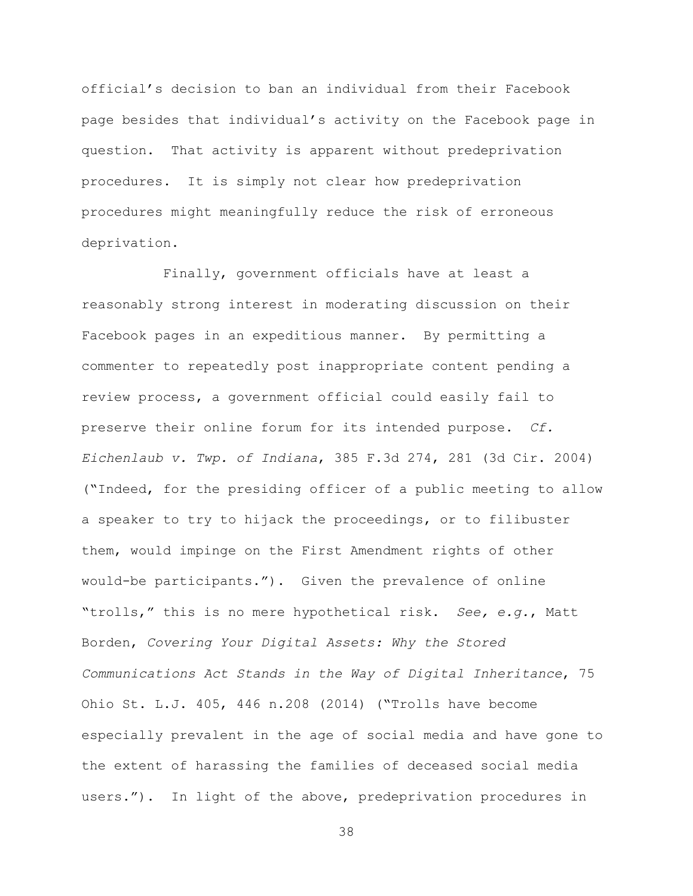official's decision to ban an individual from their Facebook page besides that individual's activity on the Facebook page in question. That activity is apparent without predeprivation procedures. It is simply not clear how predeprivation procedures might meaningfully reduce the risk of erroneous deprivation.

Finally, government officials have at least a reasonably strong interest in moderating discussion on their Facebook pages in an expeditious manner. By permitting a commenter to repeatedly post inappropriate content pending a review process, a government official could easily fail to preserve their online forum for its intended purpose. *Cf. Eichenlaub v. Twp. of Indiana*, 385 F.3d 274, 281 (3d Cir. 2004) ("Indeed, for the presiding officer of a public meeting to allow a speaker to try to hijack the proceedings, or to filibuster them, would impinge on the First Amendment rights of other would-be participants."). Given the prevalence of online "trolls," this is no mere hypothetical risk. *See, e.g.*, Matt Borden, *Covering Your Digital Assets: Why the Stored Communications Act Stands in the Way of Digital Inheritance*, 75 Ohio St. L.J. 405, 446 n.208 (2014) ("Trolls have become especially prevalent in the age of social media and have gone to the extent of harassing the families of deceased social media users."). In light of the above, predeprivation procedures in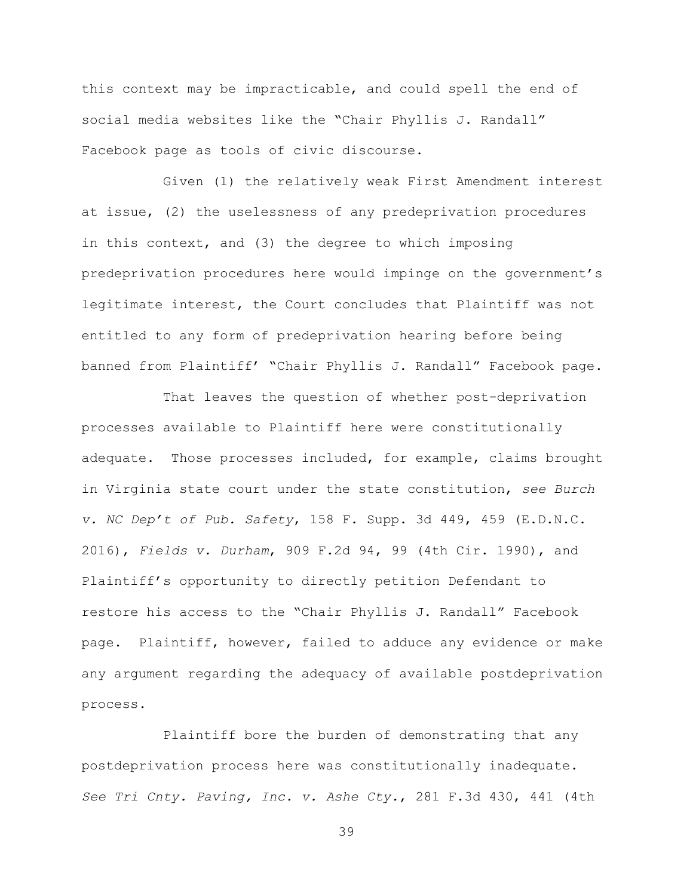this context may be impracticable, and could spell the end of social media websites like the "Chair Phyllis J. Randall" Facebook page as tools of civic discourse.

Given (1) the relatively weak First Amendment interest at issue, (2) the uselessness of any predeprivation procedures in this context, and (3) the degree to which imposing predeprivation procedures here would impinge on the government's legitimate interest, the Court concludes that Plaintiff was not entitled to any form of predeprivation hearing before being banned from Plaintiff' "Chair Phyllis J. Randall" Facebook page.

That leaves the question of whether post-deprivation processes available to Plaintiff here were constitutionally adequate. Those processes included, for example, claims brought in Virginia state court under the state constitution, *see Burch v. NC Dep't of Pub. Safety*, 158 F. Supp. 3d 449, 459 (E.D.N.C. 2016), *Fields v. Durham*, 909 F.2d 94, 99 (4th Cir. 1990), and Plaintiff's opportunity to directly petition Defendant to restore his access to the "Chair Phyllis J. Randall" Facebook page. Plaintiff, however, failed to adduce any evidence or make any argument regarding the adequacy of available postdeprivation process.

Plaintiff bore the burden of demonstrating that any postdeprivation process here was constitutionally inadequate. *See Tri Cnty. Paving, Inc. v. Ashe Cty.*, 281 F.3d 430, 441 (4th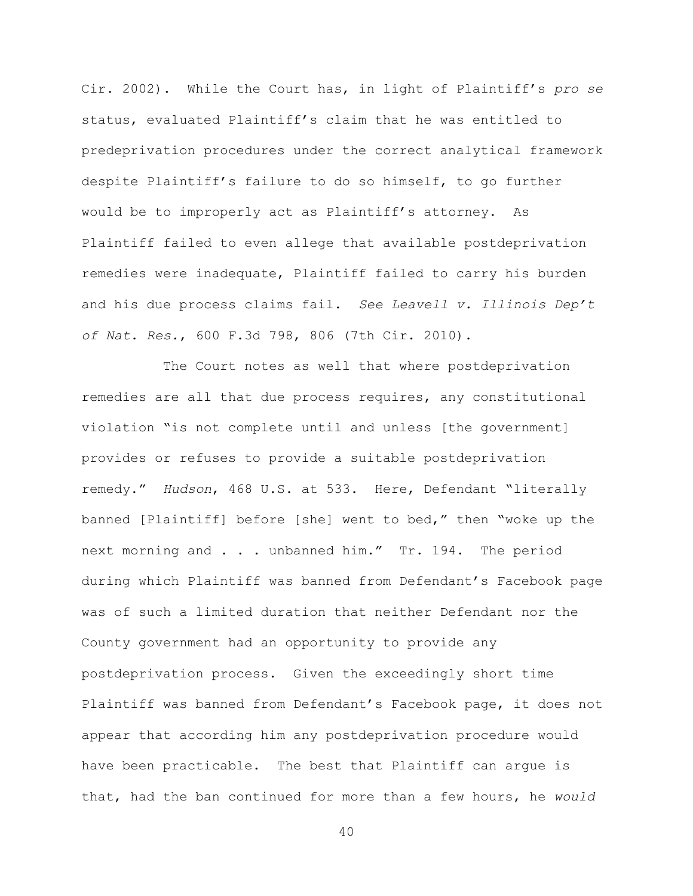Cir. 2002). While the Court has, in light of Plaintiff's *pro se* status, evaluated Plaintiff's claim that he was entitled to predeprivation procedures under the correct analytical framework despite Plaintiff's failure to do so himself, to go further would be to improperly act as Plaintiff's attorney. As Plaintiff failed to even allege that available postdeprivation remedies were inadequate, Plaintiff failed to carry his burden and his due process claims fail. *See Leavell v. Illinois Dep't of Nat. Res.*, 600 F.3d 798, 806 (7th Cir. 2010).

The Court notes as well that where postdeprivation remedies are all that due process requires, any constitutional violation "is not complete until and unless [the government] provides or refuses to provide a suitable postdeprivation remedy." *Hudson*, 468 U.S. at 533. Here, Defendant "literally banned [Plaintiff] before [she] went to bed," then "woke up the next morning and . . . unbanned him." Tr. 194. The period during which Plaintiff was banned from Defendant's Facebook page was of such a limited duration that neither Defendant nor the County government had an opportunity to provide any postdeprivation process. Given the exceedingly short time Plaintiff was banned from Defendant's Facebook page, it does not appear that according him any postdeprivation procedure would have been practicable. The best that Plaintiff can argue is that, had the ban continued for more than a few hours, he *would*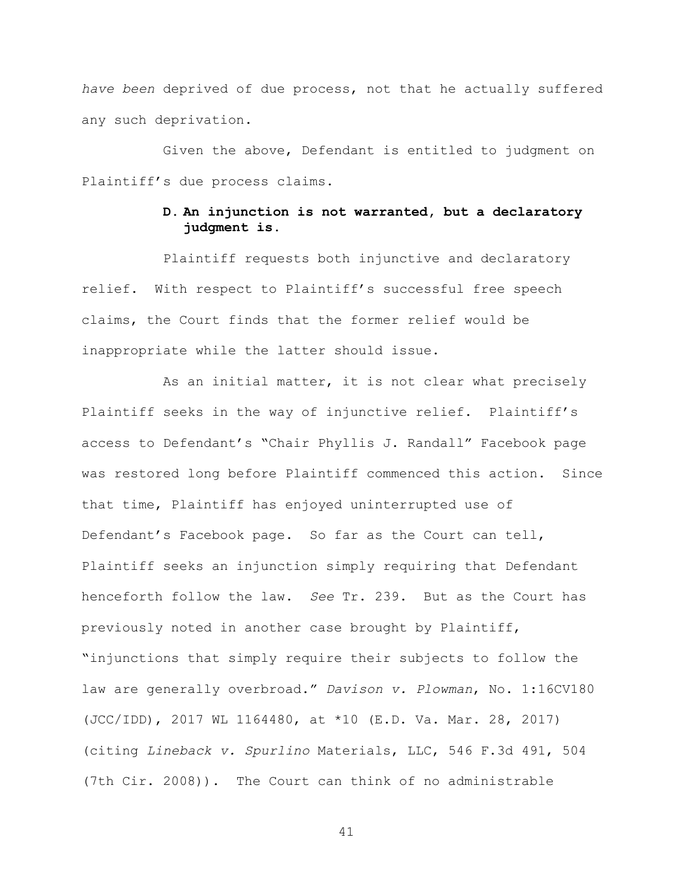*have been* deprived of due process, not that he actually suffered any such deprivation.

Given the above, Defendant is entitled to judgment on Plaintiff's due process claims.

# **D. An injunction is not warranted, but a declaratory judgment is.**

Plaintiff requests both injunctive and declaratory relief. With respect to Plaintiff's successful free speech claims, the Court finds that the former relief would be inappropriate while the latter should issue.

As an initial matter, it is not clear what precisely Plaintiff seeks in the way of injunctive relief. Plaintiff's access to Defendant's "Chair Phyllis J. Randall" Facebook page was restored long before Plaintiff commenced this action. Since that time, Plaintiff has enjoyed uninterrupted use of Defendant's Facebook page. So far as the Court can tell, Plaintiff seeks an injunction simply requiring that Defendant henceforth follow the law. *See* Tr. 239. But as the Court has previously noted in another case brought by Plaintiff, "injunctions that simply require their subjects to follow the law are generally overbroad." *Davison v. Plowman*, No. 1:16CV180 (JCC/IDD), 2017 WL 1164480, at \*10 (E.D. Va. Mar. 28, 2017) (citing *Lineback v. Spurlino* Materials, LLC, 546 F.3d 491, 504 (7th Cir. 2008)). The Court can think of no administrable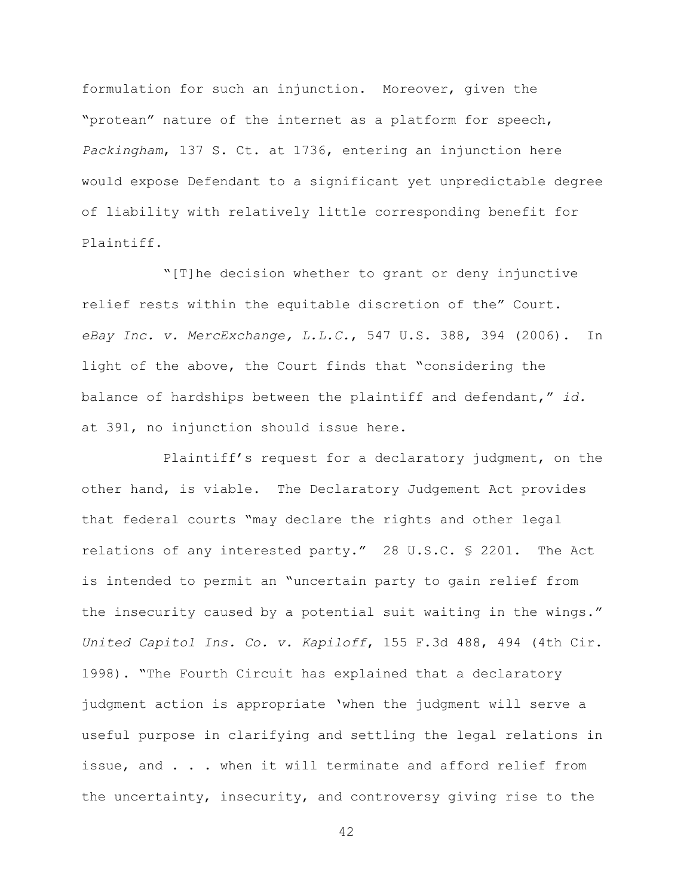formulation for such an injunction. Moreover, given the "protean" nature of the internet as a platform for speech, *Packingham*, 137 S. Ct. at 1736, entering an injunction here would expose Defendant to a significant yet unpredictable degree of liability with relatively little corresponding benefit for Plaintiff.

"[T]he decision whether to grant or deny injunctive relief rests within the equitable discretion of the" Court. *eBay Inc. v. MercExchange, L.L.C.*, 547 U.S. 388, 394 (2006). In light of the above, the Court finds that "considering the balance of hardships between the plaintiff and defendant," *id.* at 391, no injunction should issue here.

Plaintiff's request for a declaratory judgment, on the other hand, is viable. The Declaratory Judgement Act provides that federal courts "may declare the rights and other legal relations of any interested party." 28 U.S.C. § 2201. The Act is intended to permit an "uncertain party to gain relief from the insecurity caused by a potential suit waiting in the wings." *United Capitol Ins. Co. v. Kapiloff*, 155 F.3d 488, 494 (4th Cir. 1998). "The Fourth Circuit has explained that a declaratory judgment action is appropriate 'when the judgment will serve a useful purpose in clarifying and settling the legal relations in issue, and . . . when it will terminate and afford relief from the uncertainty, insecurity, and controversy giving rise to the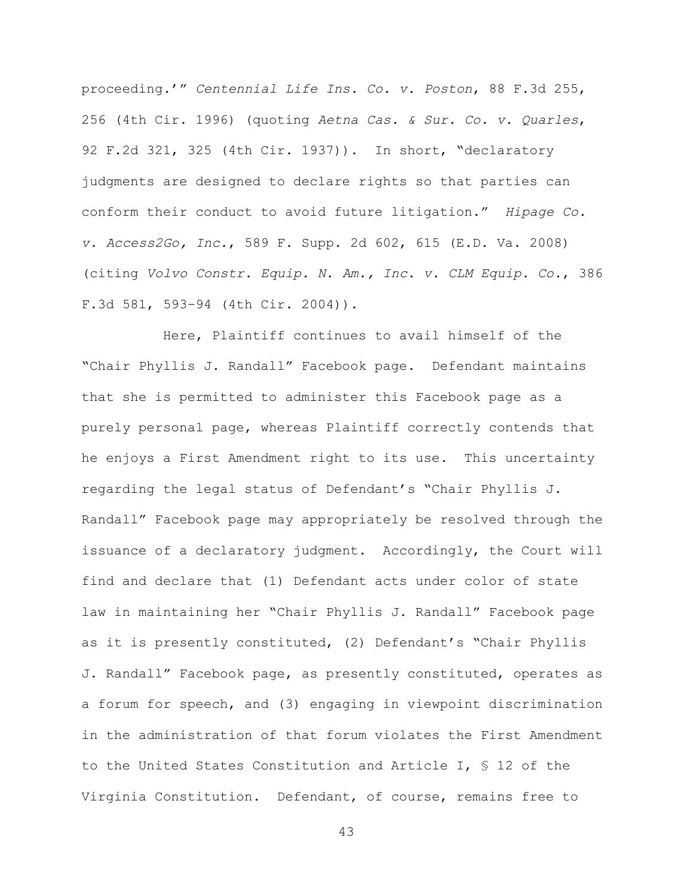proceeding.'" *Centennial Life Ins. Co. v. Poston*, 88 F.3d 255, 256 (4th Cir. 1996) (quoting *Aetna Cas. & Sur. Co. v. Quarles*, 92 F.2d 321, 325 (4th Cir. 1937)). In short, "declaratory judgments are designed to declare rights so that parties can conform their conduct to avoid future litigation." *Hipage Co. v. Access2Go, Inc.*, 589 F. Supp. 2d 602, 615 (E.D. Va. 2008) (citing *Volvo Constr. Equip. N. Am., Inc. v. CLM Equip. Co.*, 386 F.3d 581, 593–94 (4th Cir. 2004)).

Here, Plaintiff continues to avail himself of the "Chair Phyllis J. Randall" Facebook page. Defendant maintains that she is permitted to administer this Facebook page as a purely personal page, whereas Plaintiff correctly contends that he enjoys a First Amendment right to its use. This uncertainty regarding the legal status of Defendant's "Chair Phyllis J. Randall" Facebook page may appropriately be resolved through the issuance of a declaratory judgment. Accordingly, the Court will find and declare that (1) Defendant acts under color of state law in maintaining her "Chair Phyllis J. Randall" Facebook page as it is presently constituted, (2) Defendant's "Chair Phyllis J. Randall" Facebook page, as presently constituted, operates as a forum for speech, and (3) engaging in viewpoint discrimination in the administration of that forum violates the First Amendment to the United States Constitution and Article I, § 12 of the Virginia Constitution. Defendant, of course, remains free to